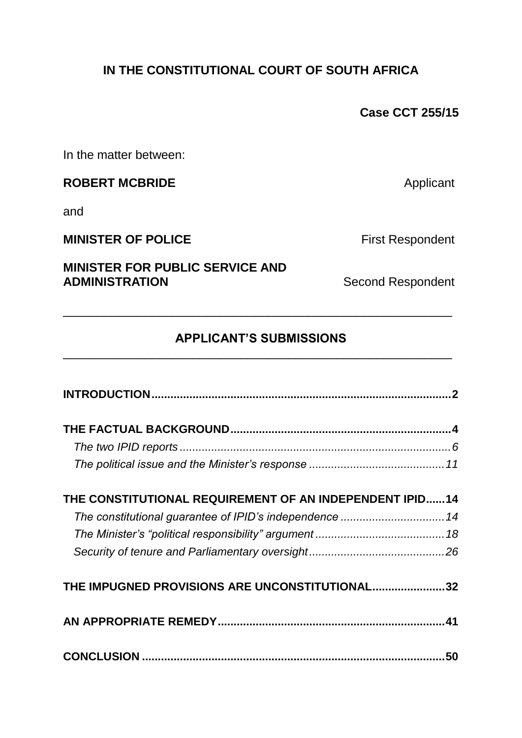## **IN THE CONSTITUTIONAL COURT OF SOUTH AFRICA**

**Case CCT 255/15**

In the matter between:

## **ROBERT MCBRIDE** Applicant

and

## **MINISTER OF POLICE** First Respondent

# **MINISTER FOR PUBLIC SERVICE AND**

**Second Respondent** 

#### **APPLICANT'S SUBMISSIONS** \_\_\_\_\_\_\_\_\_\_\_\_\_\_\_\_\_\_\_\_\_\_\_\_\_\_\_\_\_\_\_\_\_\_\_\_\_\_\_\_\_\_\_\_\_\_\_\_\_\_\_\_\_\_\_\_\_

\_\_\_\_\_\_\_\_\_\_\_\_\_\_\_\_\_\_\_\_\_\_\_\_\_\_\_\_\_\_\_\_\_\_\_\_\_\_\_\_\_\_\_\_\_\_\_\_\_\_\_\_\_\_\_\_\_

| THE CONSTITUTIONAL REQUIREMENT OF AN INDEPENDENT IPID14 |    |
|---------------------------------------------------------|----|
|                                                         |    |
|                                                         |    |
|                                                         |    |
| THE IMPUGNED PROVISIONS ARE UNCONSTITUTIONAL32          |    |
|                                                         |    |
|                                                         | 50 |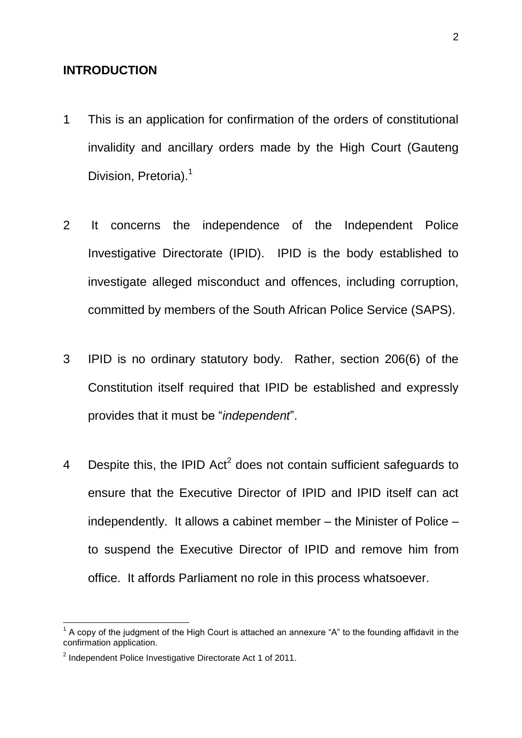#### **INTRODUCTION**

- 1 This is an application for confirmation of the orders of constitutional invalidity and ancillary orders made by the High Court (Gauteng Division, Pretoria).<sup>1</sup>
- 2 It concerns the independence of the Independent Police Investigative Directorate (IPID). IPID is the body established to investigate alleged misconduct and offences, including corruption, committed by members of the South African Police Service (SAPS).
- 3 IPID is no ordinary statutory body. Rather, section 206(6) of the Constitution itself required that IPID be established and expressly provides that it must be "*independent*".
- 4 Despite this, the IPID Act<sup>2</sup> does not contain sufficient safeguards to ensure that the Executive Director of IPID and IPID itself can act independently. It allows a cabinet member – the Minister of Police – to suspend the Executive Director of IPID and remove him from office. It affords Parliament no role in this process whatsoever.

 1 A copy of the judgment of the High Court is attached an annexure "A" to the founding affidavit in the confirmation application.

<sup>&</sup>lt;sup>2</sup> Independent Police Investigative Directorate Act 1 of 2011.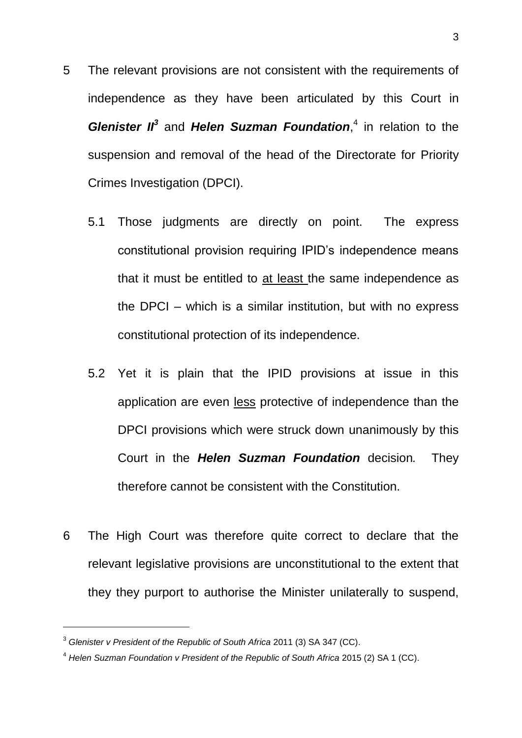- 5 The relevant provisions are not consistent with the requirements of independence as they have been articulated by this Court in **Glenister II<sup>3</sup>** and **Helen Suzman Foundation**,<sup>4</sup> in relation to the suspension and removal of the head of the Directorate for Priority Crimes Investigation (DPCI).
	- 5.1 Those judgments are directly on point. The express constitutional provision requiring IPID's independence means that it must be entitled to at least the same independence as the DPCI – which is a similar institution, but with no express constitutional protection of its independence.
	- 5.2 Yet it is plain that the IPID provisions at issue in this application are even less protective of independence than the DPCI provisions which were struck down unanimously by this Court in the *Helen Suzman Foundation* decision*.* They therefore cannot be consistent with the Constitution.
- 6 The High Court was therefore quite correct to declare that the relevant legislative provisions are unconstitutional to the extent that they they purport to authorise the Minister unilaterally to suspend,

<sup>3</sup> *Glenister v President of the Republic of South Africa* 2011 (3) SA 347 (CC).

<sup>4</sup> *Helen Suzman Foundation v President of the Republic of South Africa* 2015 (2) SA 1 (CC).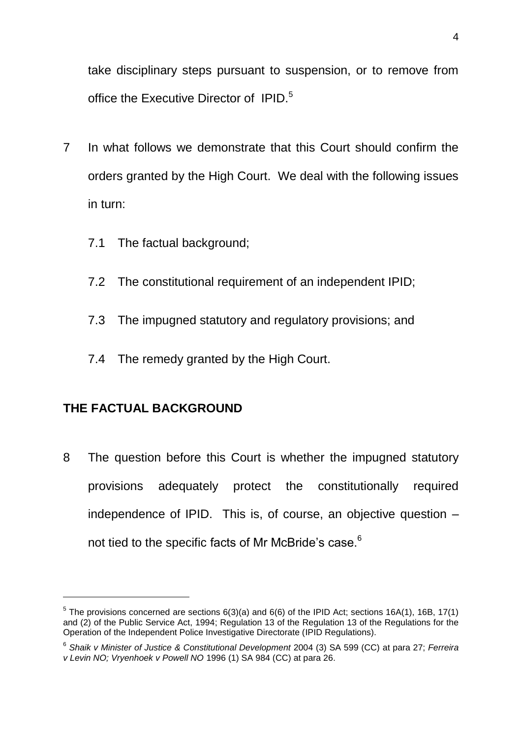take disciplinary steps pursuant to suspension, or to remove from office the Executive Director of IPID.<sup>5</sup>

- 7 In what follows we demonstrate that this Court should confirm the orders granted by the High Court. We deal with the following issues in turn:
	- 7.1 The factual background;
	- 7.2 The constitutional requirement of an independent IPID;
	- 7.3 The impugned statutory and regulatory provisions; and
	- 7.4 The remedy granted by the High Court.

## **THE FACTUAL BACKGROUND**

1

8 The question before this Court is whether the impugned statutory provisions adequately protect the constitutionally required independence of IPID. This is, of course, an objective question – not tied to the specific facts of Mr McBride's case.<sup>6</sup>

 $5$  The provisions concerned are sections  $6(3)(a)$  and  $6(6)$  of the IPID Act; sections 16A(1), 16B, 17(1) and (2) of the Public Service Act, 1994; Regulation 13 of the Regulation 13 of the Regulations for the Operation of the Independent Police Investigative Directorate (IPID Regulations).

<sup>6</sup> *Shaik v Minister of Justice & Constitutional Development* 2004 (3) SA 599 (CC) at para 27; *Ferreira v Levin NO; Vryenhoek v Powell NO* 1996 (1) SA 984 (CC) at para 26.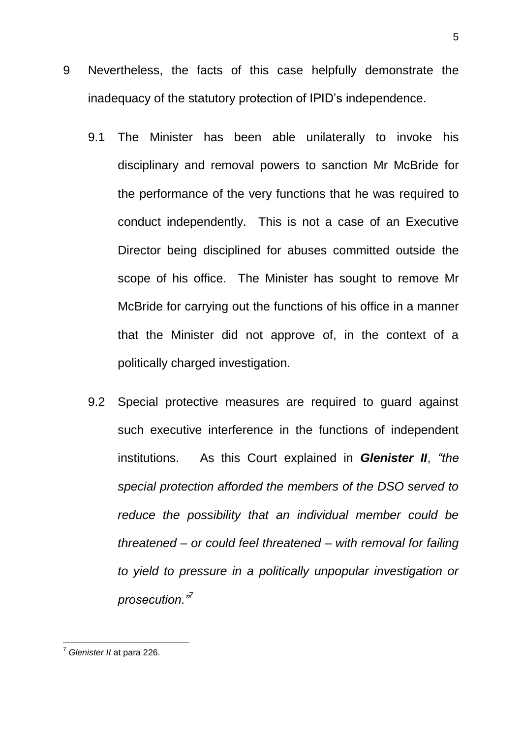- 9 Nevertheless, the facts of this case helpfully demonstrate the inadequacy of the statutory protection of IPID's independence.
	- 9.1 The Minister has been able unilaterally to invoke his disciplinary and removal powers to sanction Mr McBride for the performance of the very functions that he was required to conduct independently. This is not a case of an Executive Director being disciplined for abuses committed outside the scope of his office. The Minister has sought to remove Mr McBride for carrying out the functions of his office in a manner that the Minister did not approve of, in the context of a politically charged investigation.
	- 9.2 Special protective measures are required to guard against such executive interference in the functions of independent institutions. As this Court explained in *Glenister II*, *"the special protection afforded the members of the DSO served to reduce the possibility that an individual member could be threatened – or could feel threatened – with removal for failing to yield to pressure in a politically unpopular investigation or prosecution."<sup>7</sup>*

<sup>7</sup> *Glenister II* at para 226.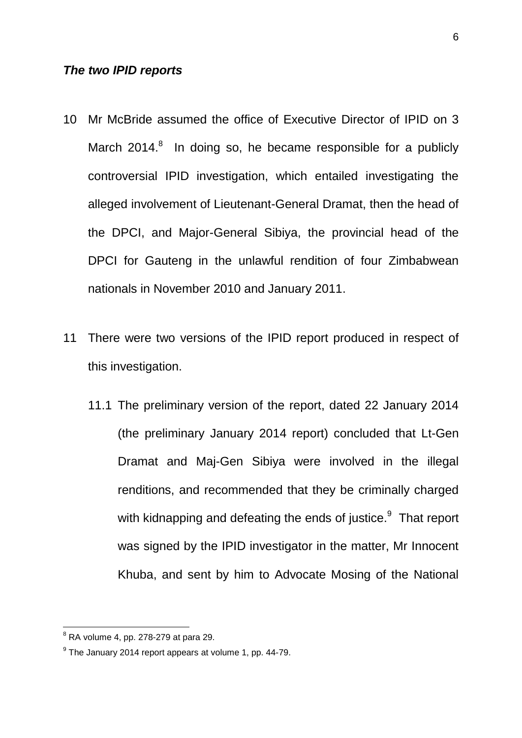#### *The two IPID reports*

- 10 Mr McBride assumed the office of Executive Director of IPID on 3 March 2014. $8$  In doing so, he became responsible for a publicly controversial IPID investigation, which entailed investigating the alleged involvement of Lieutenant-General Dramat, then the head of the DPCI, and Major-General Sibiya, the provincial head of the DPCI for Gauteng in the unlawful rendition of four Zimbabwean nationals in November 2010 and January 2011.
- 11 There were two versions of the IPID report produced in respect of this investigation.
	- 11.1 The preliminary version of the report, dated 22 January 2014 (the preliminary January 2014 report) concluded that Lt-Gen Dramat and Maj-Gen Sibiya were involved in the illegal renditions, and recommended that they be criminally charged with kidnapping and defeating the ends of justice. $9$  That report was signed by the IPID investigator in the matter, Mr Innocent Khuba, and sent by him to Advocate Mosing of the National

 $8$  RA volume 4, pp. 278-279 at para 29.

 $9$  The January 2014 report appears at volume 1, pp. 44-79.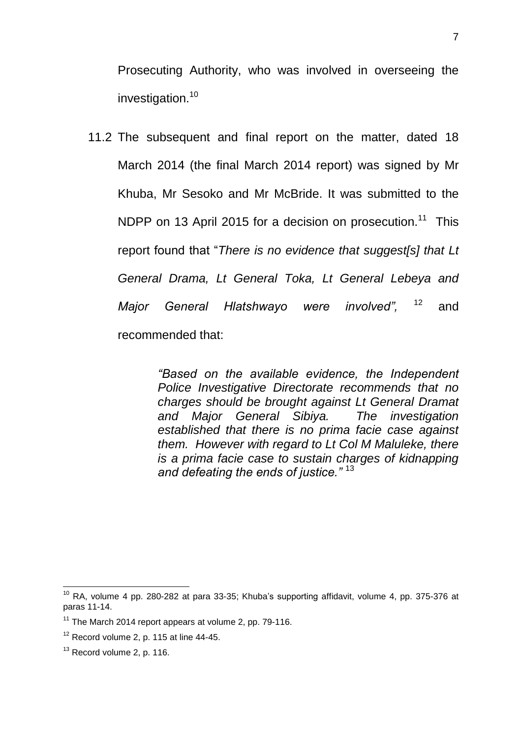Prosecuting Authority, who was involved in overseeing the investigation.<sup>10</sup>

11.2 The subsequent and final report on the matter, dated 18 March 2014 (the final March 2014 report) was signed by Mr Khuba, Mr Sesoko and Mr McBride. It was submitted to the NDPP on 13 April 2015 for a decision on prosecution.<sup>11</sup> This report found that "*There is no evidence that suggest[s] that Lt General Drama, Lt General Toka, Lt General Lebeya and Major General Hlatshwayo were involved",* <sup>12</sup> and recommended that:

> *"Based on the available evidence, the Independent Police Investigative Directorate recommends that no charges should be brought against Lt General Dramat and Major General Sibiya. The investigation established that there is no prima facie case against them. However with regard to Lt Col M Maluleke, there is a prima facie case to sustain charges of kidnapping and defeating the ends of justice."* <sup>13</sup>

 $10$  RA, volume 4 pp. 280-282 at para 33-35; Khuba's supporting affidavit, volume 4, pp. 375-376 at paras 11-14.

 $11$  The March 2014 report appears at volume 2, pp. 79-116.

 $12$  Record volume 2, p. 115 at line 44-45.

<sup>&</sup>lt;sup>13</sup> Record volume 2, p. 116.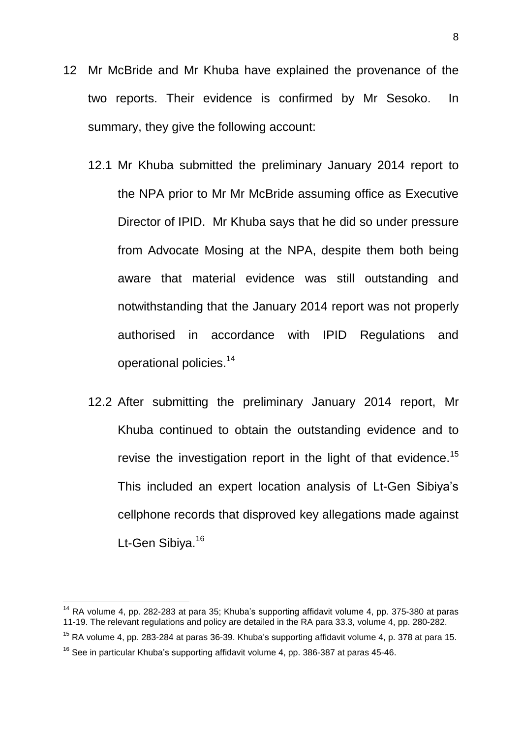- 12 Mr McBride and Mr Khuba have explained the provenance of the two reports. Their evidence is confirmed by Mr Sesoko. In summary, they give the following account:
	- 12.1 Mr Khuba submitted the preliminary January 2014 report to the NPA prior to Mr Mr McBride assuming office as Executive Director of IPID. Mr Khuba says that he did so under pressure from Advocate Mosing at the NPA, despite them both being aware that material evidence was still outstanding and notwithstanding that the January 2014 report was not properly authorised in accordance with IPID Regulations and operational policies.<sup>14</sup>
	- 12.2 After submitting the preliminary January 2014 report, Mr Khuba continued to obtain the outstanding evidence and to revise the investigation report in the light of that evidence.<sup>15</sup> This included an expert location analysis of Lt-Gen Sibiya's cellphone records that disproved key allegations made against Lt-Gen Sibiya.<sup>16</sup>

 $14$  RA volume 4, pp. 282-283 at para 35; Khuba's supporting affidavit volume 4, pp. 375-380 at paras 11-19. The relevant regulations and policy are detailed in the RA para 33.3, volume 4, pp. 280-282.

 $15$  RA volume 4, pp. 283-284 at paras 36-39. Khuba's supporting affidavit volume 4, p. 378 at para 15.

 $16$  See in particular Khuba's supporting affidavit volume 4, pp. 386-387 at paras 45-46.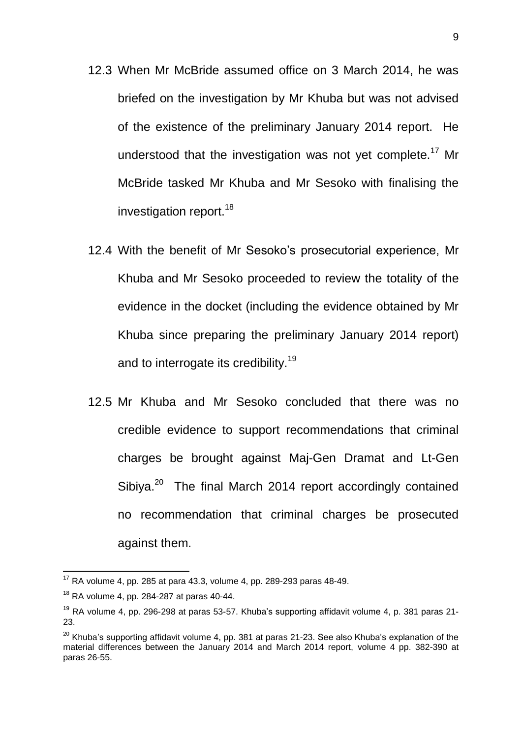- 12.3 When Mr McBride assumed office on 3 March 2014, he was briefed on the investigation by Mr Khuba but was not advised of the existence of the preliminary January 2014 report. He understood that the investigation was not yet complete.<sup>17</sup> Mr McBride tasked Mr Khuba and Mr Sesoko with finalising the investigation report.<sup>18</sup>
- 12.4 With the benefit of Mr Sesoko's prosecutorial experience, Mr Khuba and Mr Sesoko proceeded to review the totality of the evidence in the docket (including the evidence obtained by Mr Khuba since preparing the preliminary January 2014 report) and to interrogate its credibility.<sup>19</sup>
- 12.5 Mr Khuba and Mr Sesoko concluded that there was no credible evidence to support recommendations that criminal charges be brought against Maj-Gen Dramat and Lt-Gen Sibiya.<sup>20</sup> The final March 2014 report accordingly contained no recommendation that criminal charges be prosecuted against them.

 $17$  RA volume 4, pp. 285 at para 43.3, volume 4, pp. 289-293 paras 48-49.

 $18$  RA volume 4, pp. 284-287 at paras 40-44.

 $19$  RA volume 4, pp. 296-298 at paras 53-57. Khuba's supporting affidavit volume 4, p. 381 paras 21-23.

 $20$  Khuba's supporting affidavit volume 4, pp. 381 at paras 21-23. See also Khuba's explanation of the material differences between the January 2014 and March 2014 report, volume 4 pp. 382-390 at paras 26-55.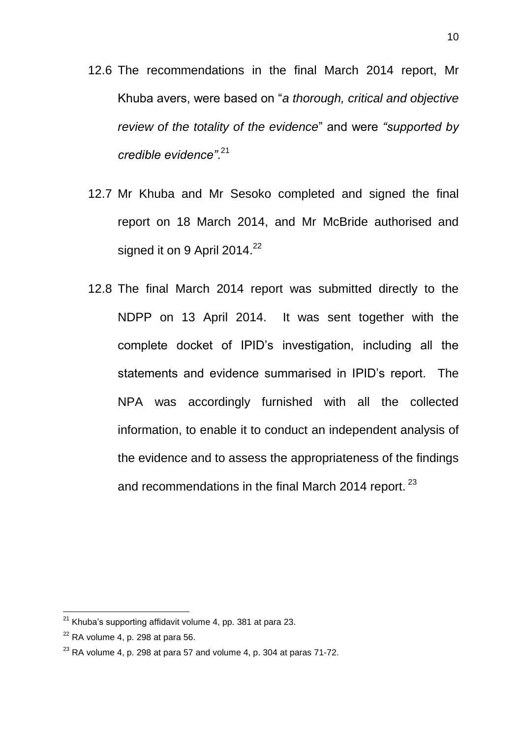- 12.6 The recommendations in the final March 2014 report, Mr Khuba avers, were based on "*a thorough, critical and objective review of the totality of the evidence*" and were *"supported by credible evidence"*. 21
- 12.7 Mr Khuba and Mr Sesoko completed and signed the final report on 18 March 2014, and Mr McBride authorised and signed it on 9 April 2014. $^{22}$
- 12.8 The final March 2014 report was submitted directly to the NDPP on 13 April 2014. It was sent together with the complete docket of IPID's investigation, including all the statements and evidence summarised in IPID's report. The NPA was accordingly furnished with all the collected information, to enable it to conduct an independent analysis of the evidence and to assess the appropriateness of the findings and recommendations in the final March 2014 report.<sup>23</sup>

 $21$  Khuba's supporting affidavit volume 4, pp. 381 at para 23.

 $22$  RA volume 4, p. 298 at para 56.

 $23$  RA volume 4, p. 298 at para 57 and volume 4, p. 304 at paras 71-72.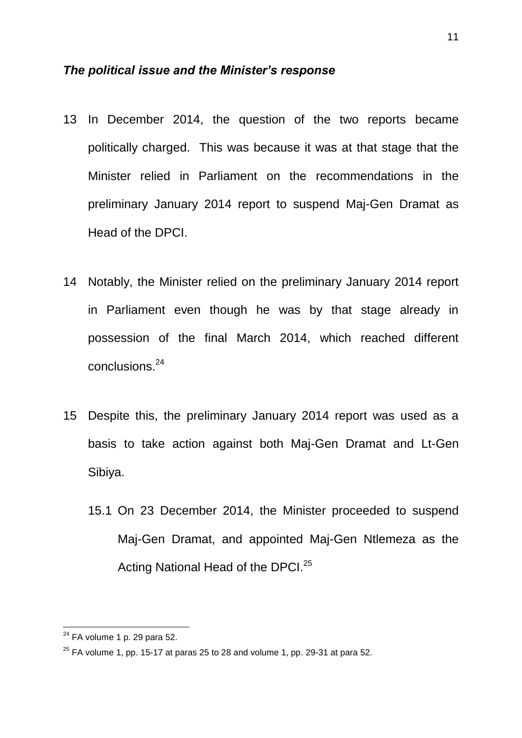#### *The political issue and the Minister's response*

- 13 In December 2014, the question of the two reports became politically charged. This was because it was at that stage that the Minister relied in Parliament on the recommendations in the preliminary January 2014 report to suspend Maj-Gen Dramat as Head of the DPCI.
- 14 Notably, the Minister relied on the preliminary January 2014 report in Parliament even though he was by that stage already in possession of the final March 2014, which reached different conclusions.<sup>24</sup>
- 15 Despite this, the preliminary January 2014 report was used as a basis to take action against both Maj-Gen Dramat and Lt-Gen Sibiya.
	- 15.1 On 23 December 2014, the Minister proceeded to suspend Maj-Gen Dramat, and appointed Maj-Gen Ntlemeza as the Acting National Head of the DPCI.<sup>25</sup>

 $24$  FA volume 1 p. 29 para 52.

 $25$  FA volume 1, pp. 15-17 at paras 25 to 28 and volume 1, pp. 29-31 at para 52.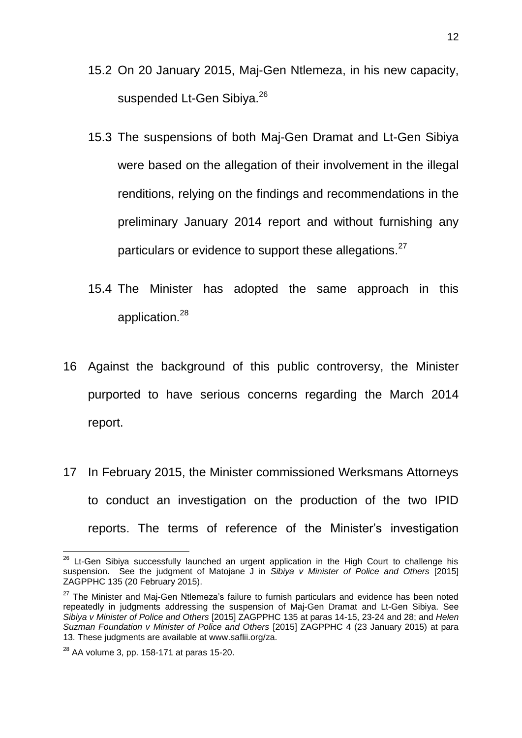- 15.2 On 20 January 2015, Maj-Gen Ntlemeza, in his new capacity, suspended Lt-Gen Sibiya.<sup>26</sup>
- 15.3 The suspensions of both Maj-Gen Dramat and Lt-Gen Sibiya were based on the allegation of their involvement in the illegal renditions, relying on the findings and recommendations in the preliminary January 2014 report and without furnishing any particulars or evidence to support these allegations.<sup>27</sup>
- 15.4 The Minister has adopted the same approach in this application.<sup>28</sup>
- 16 Against the background of this public controversy, the Minister purported to have serious concerns regarding the March 2014 report.
- 17 In February 2015, the Minister commissioned Werksmans Attorneys to conduct an investigation on the production of the two IPID reports. The terms of reference of the Minister's investigation

 $26$  Lt-Gen Sibiya successfully launched an urgent application in the High Court to challenge his suspension. See the judgment of Matojane J in *Sibiya v Minister of Police and Others* [2015] ZAGPPHC 135 (20 February 2015).

<sup>&</sup>lt;sup>27</sup> The Minister and Mai-Gen Ntlemeza's failure to furnish particulars and evidence has been noted repeatedly in judgments addressing the suspension of Maj-Gen Dramat and Lt-Gen Sibiya. See *Sibiya v Minister of Police and Others* [2015] ZAGPPHC 135 at paras 14-15, 23-24 and 28; and *Helen Suzman Foundation v Minister of Police and Others* [2015] ZAGPPHC 4 (23 January 2015) at para 13. These judgments are available at www.saflii.org/za.

 $28$  AA volume 3, pp. 158-171 at paras 15-20.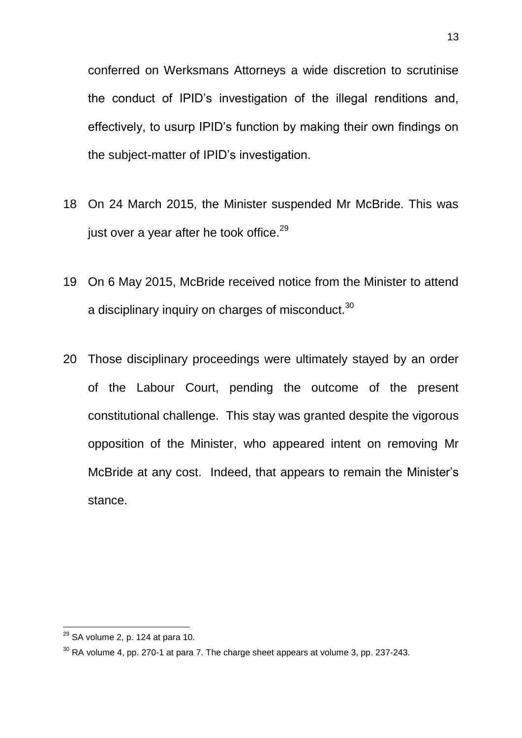conferred on Werksmans Attorneys a wide discretion to scrutinise the conduct of IPID's investigation of the illegal renditions and, effectively, to usurp IPID's function by making their own findings on the subject-matter of IPID's investigation.

- 18 On 24 March 2015, the Minister suspended Mr McBride. This was just over a year after he took office. $29$
- 19 On 6 May 2015, McBride received notice from the Minister to attend a disciplinary inquiry on charges of misconduct. $^{30}$
- 20 Those disciplinary proceedings were ultimately stayed by an order of the Labour Court, pending the outcome of the present constitutional challenge. This stay was granted despite the vigorous opposition of the Minister, who appeared intent on removing Mr McBride at any cost. Indeed, that appears to remain the Minister's stance.

 $29$  SA volume 2, p. 124 at para 10.

 $30$  RA volume 4, pp. 270-1 at para 7. The charge sheet appears at volume 3, pp. 237-243.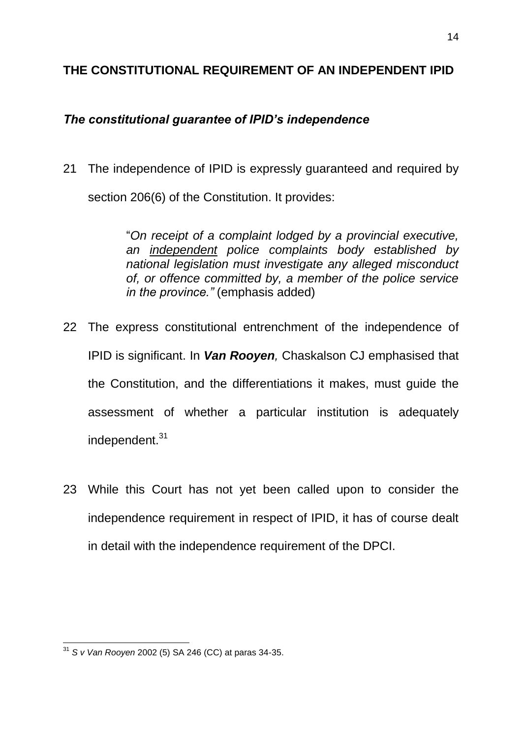#### **THE CONSTITUTIONAL REQUIREMENT OF AN INDEPENDENT IPID**

### *The constitutional guarantee of IPID's independence*

21 The independence of IPID is expressly guaranteed and required by section 206(6) of the Constitution. It provides:

> "*On receipt of a complaint lodged by a provincial executive, an independent police complaints body established by national legislation must investigate any alleged misconduct of, or offence committed by, a member of the police service in the province."* (emphasis added)

- 22 The express constitutional entrenchment of the independence of IPID is significant. In *Van Rooyen,* Chaskalson CJ emphasised that the Constitution, and the differentiations it makes, must guide the assessment of whether a particular institution is adequately independent.<sup>31</sup>
- 23 While this Court has not yet been called upon to consider the independence requirement in respect of IPID, it has of course dealt in detail with the independence requirement of the DPCI.

<sup>1</sup> <sup>31</sup> *S v Van Rooyen* 2002 (5) SA 246 (CC) at paras 34-35.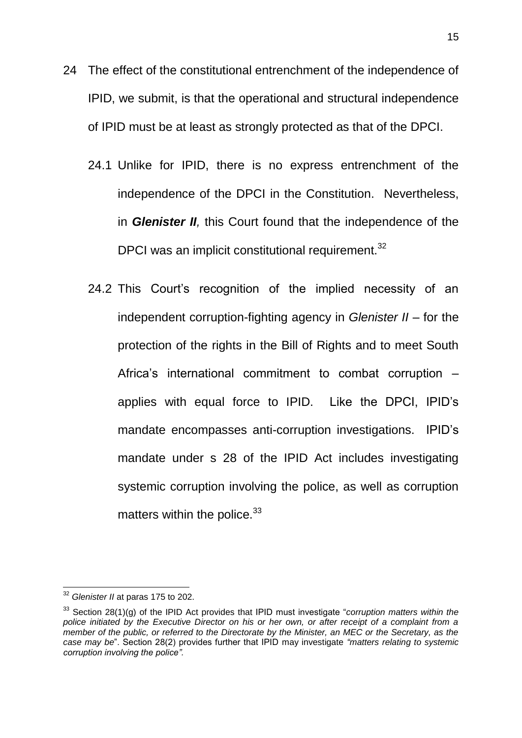- 24 The effect of the constitutional entrenchment of the independence of IPID, we submit, is that the operational and structural independence of IPID must be at least as strongly protected as that of the DPCI.
	- 24.1 Unlike for IPID, there is no express entrenchment of the independence of the DPCI in the Constitution. Nevertheless, in *Glenister II,* this Court found that the independence of the DPCI was an implicit constitutional requirement.<sup>32</sup>
	- 24.2 This Court's recognition of the implied necessity of an independent corruption-fighting agency in *Glenister II* – for the protection of the rights in the Bill of Rights and to meet South Africa's international commitment to combat corruption – applies with equal force to IPID. Like the DPCI, IPID's mandate encompasses anti-corruption investigations. IPID's mandate under s 28 of the IPID Act includes investigating systemic corruption involving the police, as well as corruption matters within the police. $33$

 $\overline{a}$ 

<sup>32</sup> *Glenister II* at paras 175 to 202.

<sup>33</sup> Section 28(1)(g) of the IPID Act provides that IPID must investigate "*corruption matters within the police initiated by the Executive Director on his or her own, or after receipt of a complaint from a member of the public, or referred to the Directorate by the Minister, an MEC or the Secretary, as the case may be*". Section 28(2) provides further that IPID may investigate *"matters relating to systemic corruption involving the police".*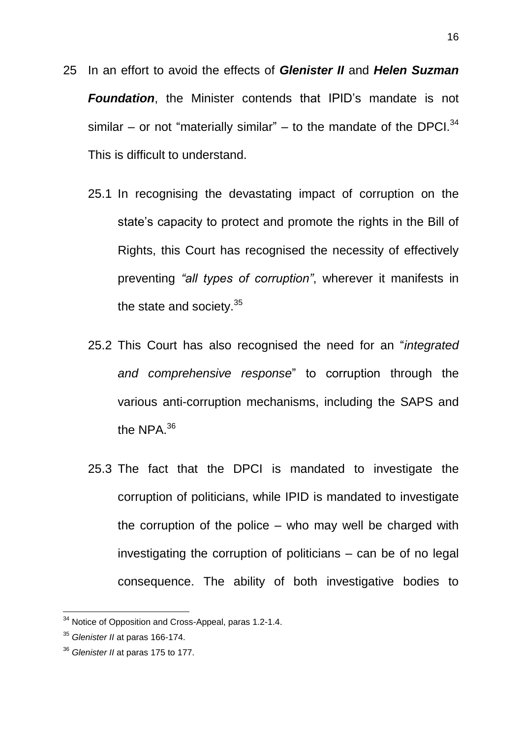- 25 In an effort to avoid the effects of *Glenister II* and *Helen Suzman Foundation*, the Minister contends that IPID's mandate is not similar – or not "materially similar" – to the mandate of the DPCI. $^{34}$ This is difficult to understand.
	- 25.1 In recognising the devastating impact of corruption on the state's capacity to protect and promote the rights in the Bill of Rights, this Court has recognised the necessity of effectively preventing *"all types of corruption"*, wherever it manifests in the state and society.<sup>35</sup>
	- 25.2 This Court has also recognised the need for an "*integrated and comprehensive response*" to corruption through the various anti-corruption mechanisms, including the SAPS and the NPA. $^{36}$
	- 25.3 The fact that the DPCI is mandated to investigate the corruption of politicians, while IPID is mandated to investigate the corruption of the police – who may well be charged with investigating the corruption of politicians – can be of no legal consequence. The ability of both investigative bodies to

 $34$  Notice of Opposition and Cross-Appeal, paras 1.2-1.4.

<sup>35</sup> *Glenister II* at paras 166-174.

<sup>36</sup> *Glenister II* at paras 175 to 177.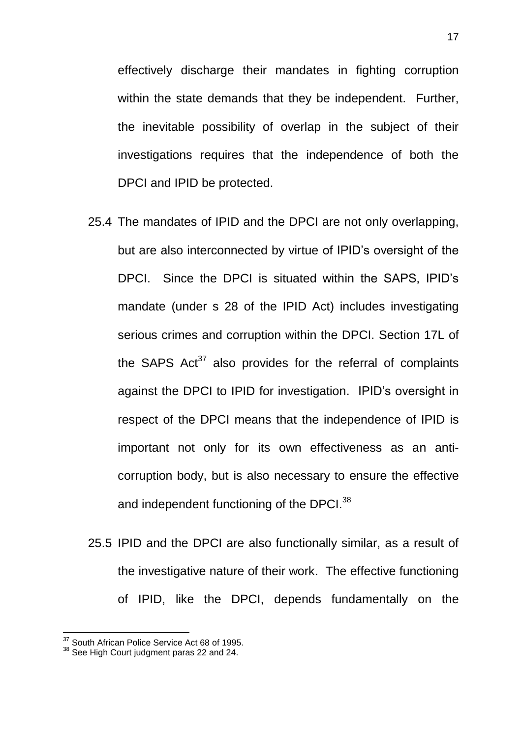effectively discharge their mandates in fighting corruption within the state demands that they be independent. Further, the inevitable possibility of overlap in the subject of their investigations requires that the independence of both the DPCI and IPID be protected.

- 25.4 The mandates of IPID and the DPCI are not only overlapping, but are also interconnected by virtue of IPID's oversight of the DPCI. Since the DPCI is situated within the SAPS, IPID's mandate (under s 28 of the IPID Act) includes investigating serious crimes and corruption within the DPCI. Section 17L of the SAPS  $Act^{37}$  also provides for the referral of complaints against the DPCI to IPID for investigation. IPID's oversight in respect of the DPCI means that the independence of IPID is important not only for its own effectiveness as an anticorruption body, but is also necessary to ensure the effective and independent functioning of the DPCI.<sup>38</sup>
- 25.5 IPID and the DPCI are also functionally similar, as a result of the investigative nature of their work. The effective functioning of IPID, like the DPCI, depends fundamentally on the

<sup>&</sup>lt;sup>37</sup> South African Police Service Act 68 of 1995.

<sup>38</sup> See High Court judgment paras 22 and 24.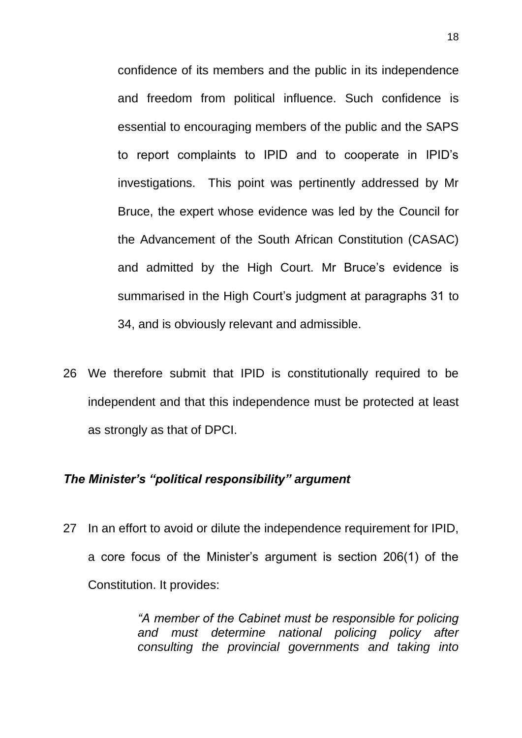confidence of its members and the public in its independence and freedom from political influence. Such confidence is essential to encouraging members of the public and the SAPS to report complaints to IPID and to cooperate in IPID's investigations. This point was pertinently addressed by Mr Bruce, the expert whose evidence was led by the Council for the Advancement of the South African Constitution (CASAC) and admitted by the High Court. Mr Bruce's evidence is summarised in the High Court's judgment at paragraphs 31 to 34, and is obviously relevant and admissible.

26 We therefore submit that IPID is constitutionally required to be independent and that this independence must be protected at least as strongly as that of DPCI.

#### *The Minister's "political responsibility" argument*

27 In an effort to avoid or dilute the independence requirement for IPID, a core focus of the Minister's argument is section 206(1) of the Constitution. It provides:

> *"A member of the Cabinet must be responsible for policing and must determine national policing policy after consulting the provincial governments and taking into*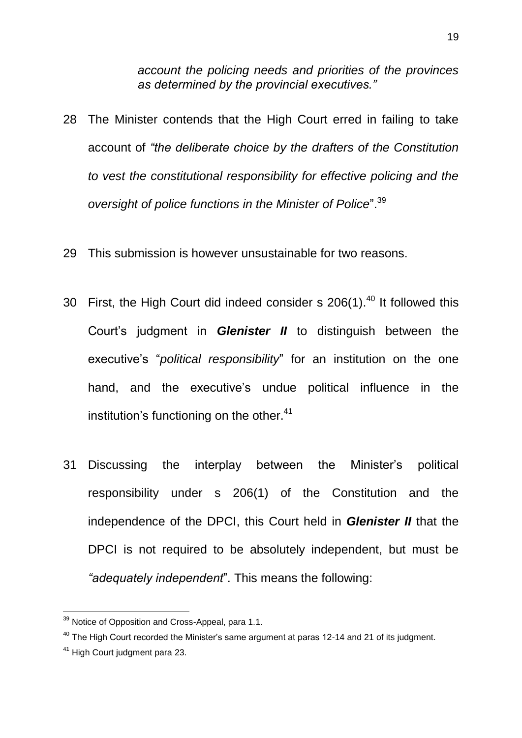*account the policing needs and priorities of the provinces as determined by the provincial executives."*

- 28 The Minister contends that the High Court erred in failing to take account of *"the deliberate choice by the drafters of the Constitution to vest the constitutional responsibility for effective policing and the oversight of police functions in the Minister of Police*".<sup>39</sup>
- 29 This submission is however unsustainable for two reasons.
- 30 First, the High Court did indeed consider s  $206(1).<sup>40</sup>$  It followed this Court's judgment in *Glenister II* to distinguish between the executive's "*political responsibility*" for an institution on the one hand, and the executive's undue political influence in the institution's functioning on the other.<sup>41</sup>
- 31 Discussing the interplay between the Minister's political responsibility under s 206(1) of the Constitution and the independence of the DPCI, this Court held in *Glenister II* that the DPCI is not required to be absolutely independent, but must be *"adequately independent*". This means the following:

<sup>&</sup>lt;sup>39</sup> Notice of Opposition and Cross-Appeal, para 1.1.

 $40$  The High Court recorded the Minister's same argument at paras 12-14 and 21 of its judgment.

<sup>41</sup> High Court judgment para 23.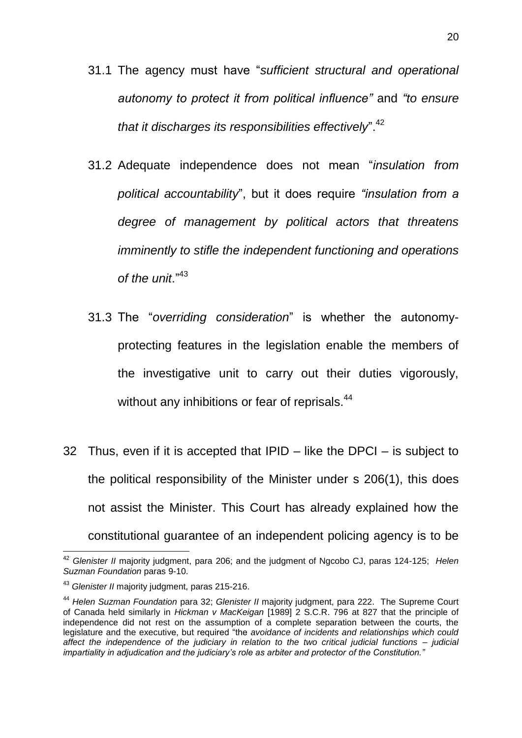- 31.1 The agency must have "*sufficient structural and operational autonomy to protect it from political influence"* and *"to ensure that it discharges its responsibilities effectively*<sup>", 42</sup>
- 31.2 Adequate independence does not mean "*insulation from political accountability*", but it does require *"insulation from a degree of management by political actors that threatens imminently to stifle the independent functioning and operations of the unit*."<sup>43</sup>
- 31.3 The "*overriding consideration*" is whether the autonomyprotecting features in the legislation enable the members of the investigative unit to carry out their duties vigorously, without any inhibitions or fear of reprisals.<sup>44</sup>
- 32 Thus, even if it is accepted that IPID like the DPCI is subject to the political responsibility of the Minister under s 206(1), this does not assist the Minister. This Court has already explained how the constitutional guarantee of an independent policing agency is to be

<sup>42</sup> *Glenister II* majority judgment, para 206; and the judgment of Ngcobo CJ, paras 124-125; *Helen Suzman Foundation* paras 9-10.

<sup>43</sup> *Glenister II* majority judgment, paras 215-216.

<sup>44</sup> *Helen Suzman Foundation* para 32; *Glenister II* majority judgment, para 222. The Supreme Court of Canada held similarly in *Hickman v MacKeigan* [1989] 2 S.C.R. 796 at 827 that the principle of independence did not rest on the assumption of a complete separation between the courts, the legislature and the executive, but required "the *avoidance of incidents and relationships which could affect the independence of the judiciary in relation to the two critical judicial functions – judicial impartiality in adjudication and the judiciary's role as arbiter and protector of the Constitution."*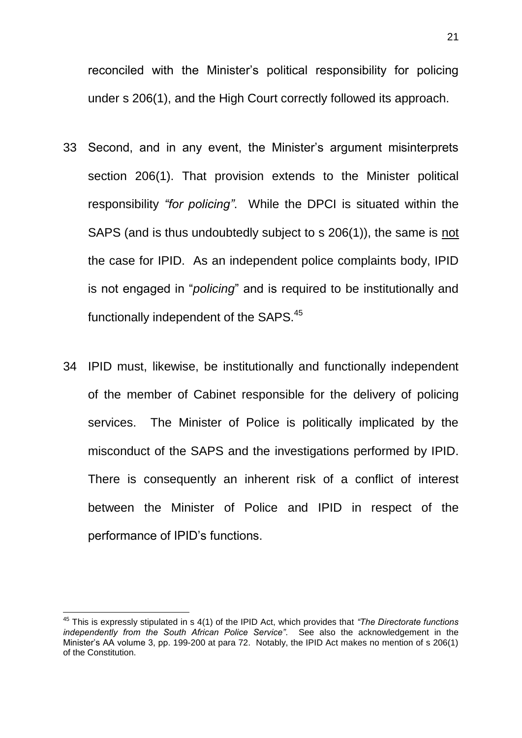reconciled with the Minister's political responsibility for policing under s 206(1), and the High Court correctly followed its approach.

- 33 Second, and in any event, the Minister's argument misinterprets section 206(1). That provision extends to the Minister political responsibility *"for policing"*. While the DPCI is situated within the SAPS (and is thus undoubtedly subject to s 206(1)), the same is not the case for IPID. As an independent police complaints body, IPID is not engaged in "*policing*" and is required to be institutionally and functionally independent of the SAPS.<sup>45</sup>
- 34 IPID must, likewise, be institutionally and functionally independent of the member of Cabinet responsible for the delivery of policing services. The Minister of Police is politically implicated by the misconduct of the SAPS and the investigations performed by IPID. There is consequently an inherent risk of a conflict of interest between the Minister of Police and IPID in respect of the performance of IPID's functions.

<sup>45</sup> This is expressly stipulated in s 4(1) of the IPID Act, which provides that *"The Directorate functions independently from the South African Police Service"*. See also the acknowledgement in the Minister's AA volume 3, pp. 199-200 at para 72. Notably, the IPID Act makes no mention of s 206(1) of the Constitution.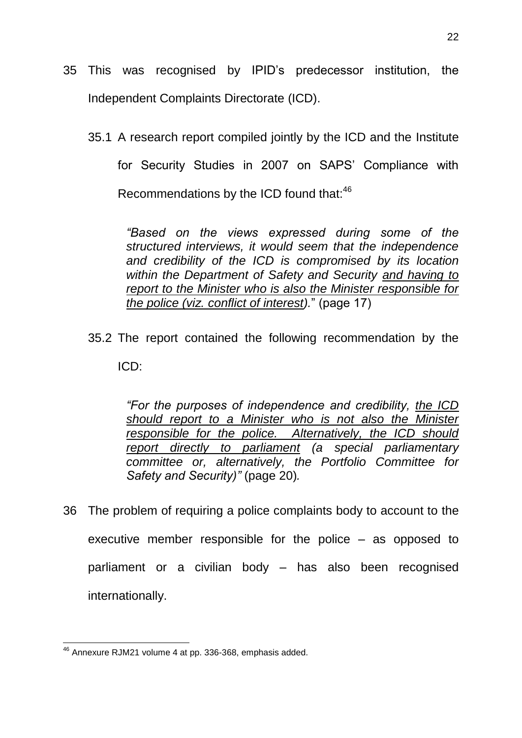- 35 This was recognised by IPID's predecessor institution, the Independent Complaints Directorate (ICD).
	- 35.1 A research report compiled jointly by the ICD and the Institute for Security Studies in 2007 on SAPS' Compliance with Recommendations by the ICD found that:<sup>46</sup>

*"Based on the views expressed during some of the structured interviews, it would seem that the independence and credibility of the ICD is compromised by its location within the Department of Safety and Security and having to report to the Minister who is also the Minister responsible for the police (viz. conflict of interest).*" (page 17)

35.2 The report contained the following recommendation by the ICD:

> *"For the purposes of independence and credibility, the ICD should report to a Minister who is not also the Minister responsible for the police. Alternatively, the ICD should report directly to parliament (a special parliamentary committee or, alternatively, the Portfolio Committee for Safety and Security)"* (page 20)*.*

36 The problem of requiring a police complaints body to account to the executive member responsible for the police – as opposed to parliament or a civilian body – has also been recognised internationally.

<sup>1</sup>  $46$  Annexure RJM21 volume 4 at pp. 336-368, emphasis added.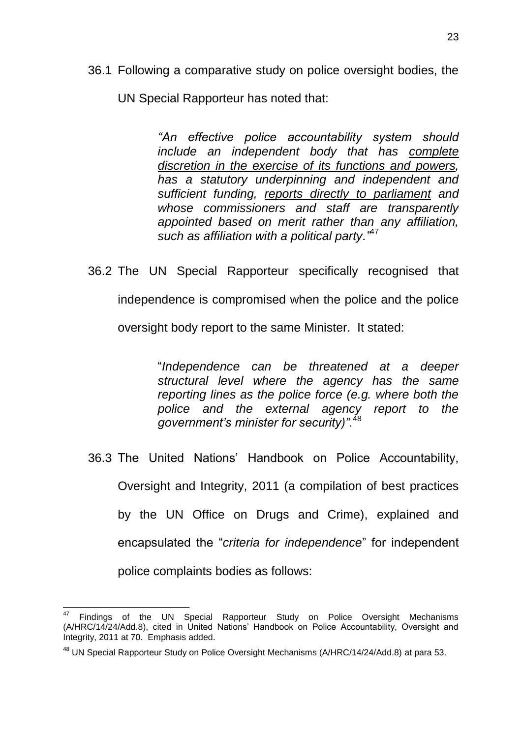36.1 Following a comparative study on police oversight bodies, the

UN Special Rapporteur has noted that:

*"An effective police accountability system should include an independent body that has complete discretion in the exercise of its functions and powers, has a statutory underpinning and independent and sufficient funding, reports directly to parliament and whose commissioners and staff are transparently appointed based on merit rather than any affiliation, such as affiliation with a political party."*<sup>47</sup>

36.2 The UN Special Rapporteur specifically recognised that

independence is compromised when the police and the police

oversight body report to the same Minister. It stated:

"*Independence can be threatened at a deeper structural level where the agency has the same reporting lines as the police force (e.g. where both the police and the external agency report to the government's minister for security)".*<sup>48</sup>

36.3 The United Nations' Handbook on Police Accountability, Oversight and Integrity, 2011 (a compilation of best practices by the UN Office on Drugs and Crime), explained and encapsulated the "*criteria for independence*" for independent police complaints bodies as follows:

Findings of the UN Special Rapporteur Study on Police Oversight Mechanisms (A/HRC/14/24/Add.8), cited in United Nations' Handbook on Police Accountability, Oversight and Integrity, 2011 at 70. Emphasis added.

<sup>&</sup>lt;sup>48</sup> UN Special Rapporteur Study on Police Oversight Mechanisms (A/HRC/14/24/Add.8) at para 53.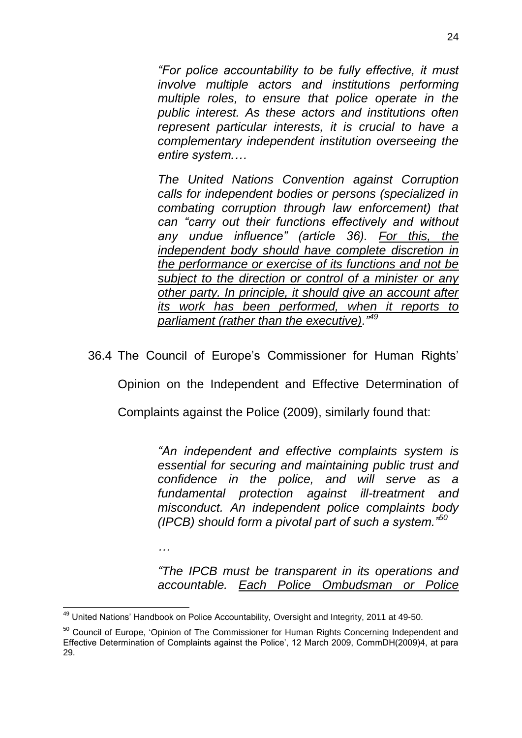*"For police accountability to be fully effective, it must involve multiple actors and institutions performing multiple roles, to ensure that police operate in the public interest. As these actors and institutions often represent particular interests, it is crucial to have a complementary independent institution overseeing the entire system.…*

*The United Nations Convention against Corruption calls for independent bodies or persons (specialized in combating corruption through law enforcement) that can "carry out their functions effectively and without any undue influence" (article 36). For this, the independent body should have complete discretion in the performance or exercise of its functions and not be subject to the direction or control of a minister or any other party. In principle, it should give an account after its work has been performed, when it reports to parliament (rather than the executive)."<sup>49</sup>*

36.4 The Council of Europe's Commissioner for Human Rights'

Opinion on the Independent and Effective Determination of

Complaints against the Police (2009), similarly found that:

*"An independent and effective complaints system is essential for securing and maintaining public trust and confidence in the police, and will serve as a fundamental protection against ill-treatment and misconduct. An independent police complaints body (IPCB) should form a pivotal part of such a system."<sup>50</sup>*

*…*

*"The IPCB must be transparent in its operations and accountable. Each Police Ombudsman or Police* 

<sup>1</sup>  $49$  United Nations' Handbook on Police Accountability, Oversight and Integrity, 2011 at 49-50.

<sup>&</sup>lt;sup>50</sup> Council of Europe, 'Opinion of The Commissioner for Human Rights Concerning Independent and Effective Determination of Complaints against the Police', 12 March 2009, CommDH(2009)4, at para 29.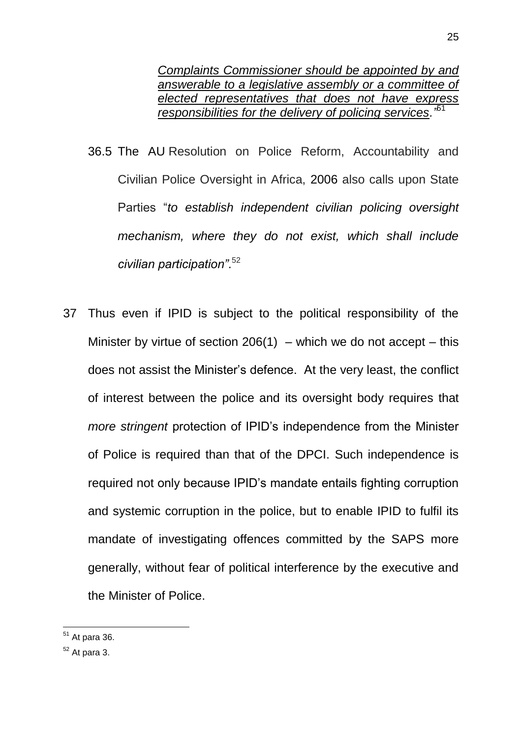*Complaints Commissioner should be appointed by and answerable to a legislative assembly or a committee of elected representatives that does not have express responsibilities for the delivery of policing services."*<sup>51</sup>

- 36.5 The AU Resolution on Police Reform, Accountability and Civilian Police Oversight in Africa, 2006 also calls upon State Parties "*to establish independent civilian policing oversight mechanism, where they do not exist, which shall include civilian participation"*. 52
- 37 Thus even if IPID is subject to the political responsibility of the Minister by virtue of section 206(1) – which we do not accept – this does not assist the Minister's defence. At the very least, the conflict of interest between the police and its oversight body requires that *more stringent* protection of IPID's independence from the Minister of Police is required than that of the DPCI. Such independence is required not only because IPID's mandate entails fighting corruption and systemic corruption in the police, but to enable IPID to fulfil its mandate of investigating offences committed by the SAPS more generally, without fear of political interference by the executive and the Minister of Police.

<sup>1</sup>  $51$  At para 36.

 $52$  At para 3.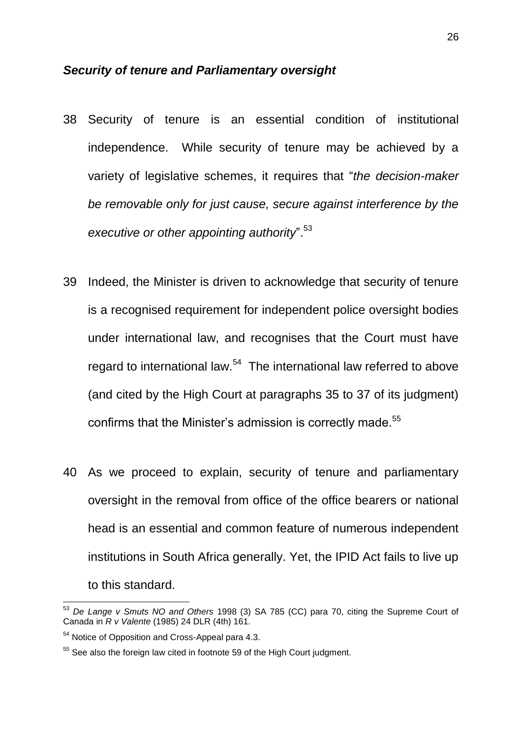#### *Security of tenure and Parliamentary oversight*

- 38 Security of tenure is an essential condition of institutional independence. While security of tenure may be achieved by a variety of legislative schemes, it requires that "*the decision-maker be removable only for just cause, secure against interference by the executive or other appointing authority*".<sup>53</sup>
- 39 Indeed, the Minister is driven to acknowledge that security of tenure is a recognised requirement for independent police oversight bodies under international law, and recognises that the Court must have regard to international law.<sup>54</sup> The international law referred to above (and cited by the High Court at paragraphs 35 to 37 of its judgment) confirms that the Minister's admission is correctly made.<sup>55</sup>
- 40 As we proceed to explain, security of tenure and parliamentary oversight in the removal from office of the office bearers or national head is an essential and common feature of numerous independent institutions in South Africa generally. Yet, the IPID Act fails to live up to this standard.

<sup>53</sup> *De Lange v Smuts NO and Others* 1998 (3) SA 785 (CC) para 70, citing the Supreme Court of Canada in *R v Valente* (1985) 24 DLR (4th) 161.

<sup>&</sup>lt;sup>54</sup> Notice of Opposition and Cross-Appeal para 4.3.

<sup>&</sup>lt;sup>55</sup> See also the foreign law cited in footnote 59 of the High Court judgment.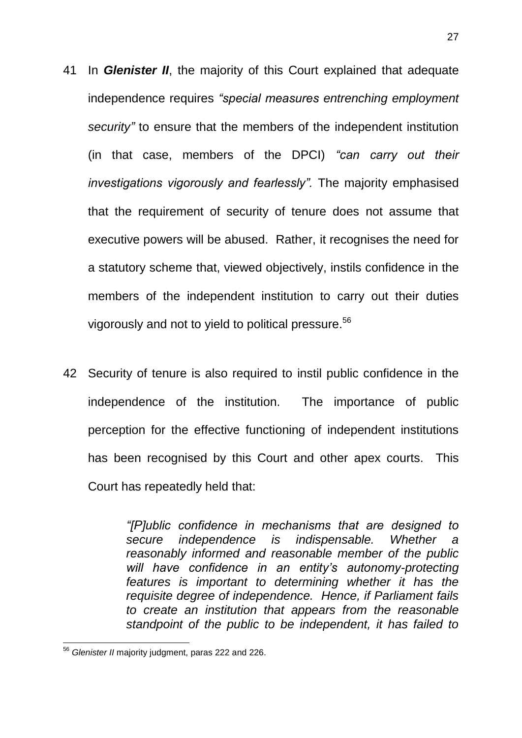- 41 In *Glenister II*, the majority of this Court explained that adequate independence requires *"special measures entrenching employment security"* to ensure that the members of the independent institution (in that case, members of the DPCI) *"can carry out their investigations vigorously and fearlessly".* The majority emphasised that the requirement of security of tenure does not assume that executive powers will be abused. Rather, it recognises the need for a statutory scheme that, viewed objectively, instils confidence in the members of the independent institution to carry out their duties vigorously and not to yield to political pressure. 56
- 42 Security of tenure is also required to instil public confidence in the independence of the institution. The importance of public perception for the effective functioning of independent institutions has been recognised by this Court and other apex courts. This Court has repeatedly held that:

*"[P]ublic confidence in mechanisms that are designed to secure independence is indispensable. Whether a reasonably informed and reasonable member of the public will have confidence in an entity's autonomy-protecting features is important to determining whether it has the requisite degree of independence. Hence, if Parliament fails to create an institution that appears from the reasonable standpoint of the public to be independent, it has failed to* 

<sup>56</sup> *Glenister II* majority judgment, paras 222 and 226.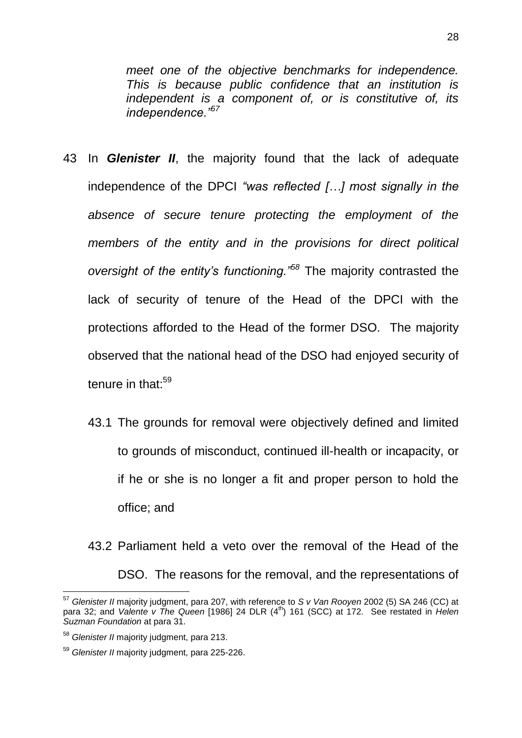*meet one of the objective benchmarks for independence. This is because public confidence that an institution is independent is a component of, or is constitutive of, its independence."<sup>57</sup>*

- 43 In *Glenister II*, the majority found that the lack of adequate independence of the DPCI *"was reflected […] most signally in the absence of secure tenure protecting the employment of the members of the entity and in the provisions for direct political oversight of the entity's functioning."<sup>58</sup>* The majority contrasted the lack of security of tenure of the Head of the DPCI with the protections afforded to the Head of the former DSO. The majority observed that the national head of the DSO had enjoyed security of tenure in that: $59$ 
	- 43.1 The grounds for removal were objectively defined and limited to grounds of misconduct, continued ill-health or incapacity, or if he or she is no longer a fit and proper person to hold the office; and
	- 43.2 Parliament held a veto over the removal of the Head of the DSO. The reasons for the removal, and the representations of

<sup>57</sup> *Glenister II* majority judgment, para 207, with reference to *S v Van Rooyen* 2002 (5) SA 246 (CC) at para 32; and *Valente v The Queen* [1986] 24 DLR (4<sup>th</sup>) 161 (SCC) at 172. See restated in *Helen Suzman Foundation* at para 31.

<sup>58</sup> *Glenister II* majority judgment, para 213.

<sup>59</sup> *Glenister II* majority judgment, para 225-226.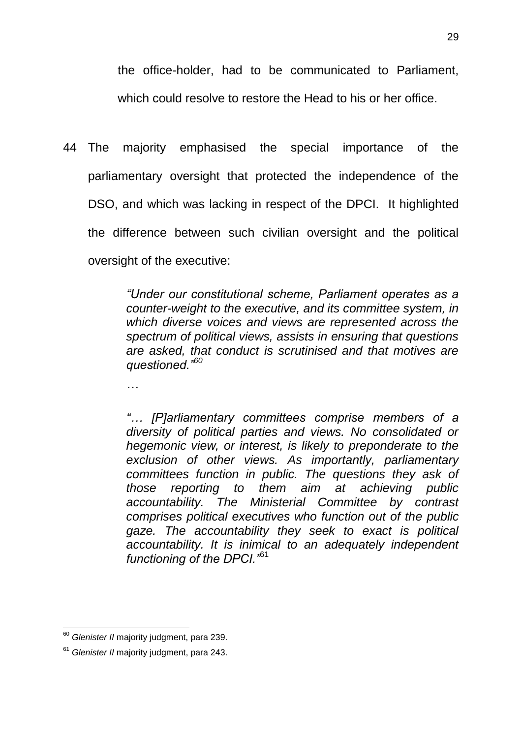the office-holder, had to be communicated to Parliament, which could resolve to restore the Head to his or her office.

44 The majority emphasised the special importance of the parliamentary oversight that protected the independence of the DSO, and which was lacking in respect of the DPCI. It highlighted the difference between such civilian oversight and the political oversight of the executive:

> *"Under our constitutional scheme, Parliament operates as a counter-weight to the executive, and its committee system, in which diverse voices and views are represented across the spectrum of political views, assists in ensuring that questions are asked, that conduct is scrutinised and that motives are questioned."<sup>60</sup>*

*…*

*"… [P]arliamentary committees comprise members of a diversity of political parties and views. No consolidated or hegemonic view, or interest, is likely to preponderate to the exclusion of other views. As importantly, parliamentary committees function in public. The questions they ask of those reporting to them aim at achieving public accountability. The Ministerial Committee by contrast comprises political executives who function out of the public gaze. The accountability they seek to exact is political accountability. It is inimical to an adequately independent functioning of the DPCI."*<sup>61</sup>

<sup>1</sup> <sup>60</sup> *Glenister II* majority judgment, para 239.

<sup>61</sup> *Glenister II* majority judgment, para 243.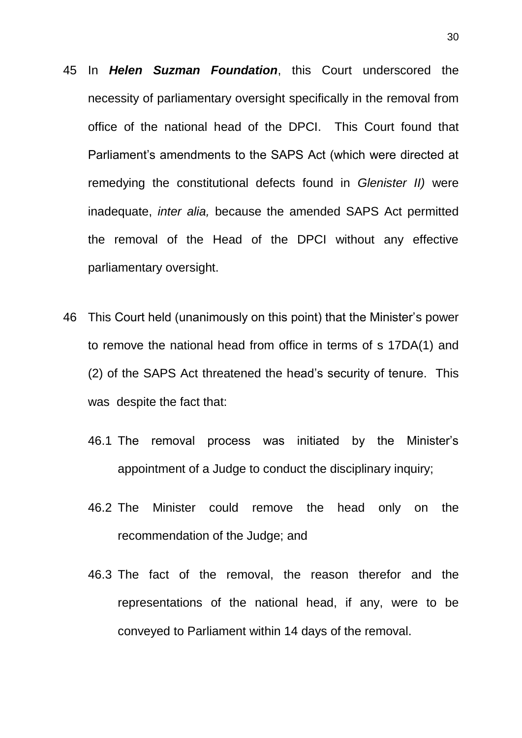- 45 In *Helen Suzman Foundation*, this Court underscored the necessity of parliamentary oversight specifically in the removal from office of the national head of the DPCI. This Court found that Parliament's amendments to the SAPS Act (which were directed at remedying the constitutional defects found in *Glenister II)* were inadequate, *inter alia,* because the amended SAPS Act permitted the removal of the Head of the DPCI without any effective parliamentary oversight.
- 46 This Court held (unanimously on this point) that the Minister's power to remove the national head from office in terms of s 17DA(1) and (2) of the SAPS Act threatened the head's security of tenure. This was despite the fact that:
	- 46.1 The removal process was initiated by the Minister's appointment of a Judge to conduct the disciplinary inquiry;
	- 46.2 The Minister could remove the head only on the recommendation of the Judge; and
	- 46.3 The fact of the removal, the reason therefor and the representations of the national head, if any, were to be conveyed to Parliament within 14 days of the removal.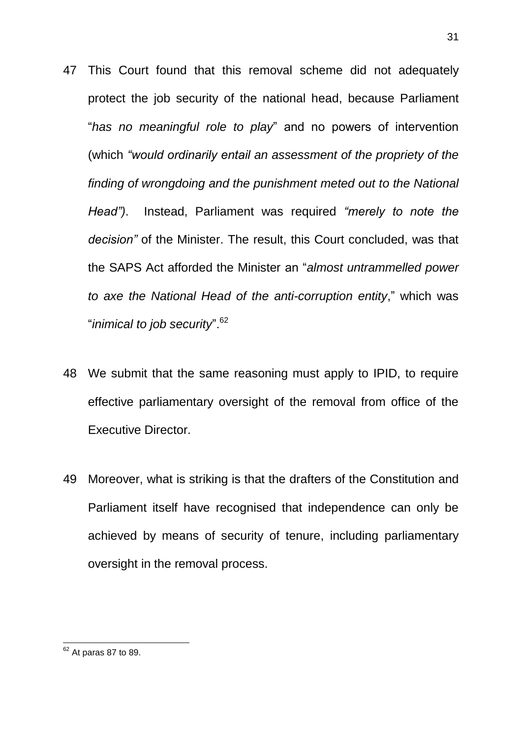- 47 This Court found that this removal scheme did not adequately protect the job security of the national head, because Parliament "*has no meaningful role to play*" and no powers of intervention (which *"would ordinarily entail an assessment of the propriety of the finding of wrongdoing and the punishment meted out to the National Head")*. Instead, Parliament was required *"merely to note the decision"* of the Minister. The result, this Court concluded, was that the SAPS Act afforded the Minister an "*almost untrammelled power to axe the National Head of the anti-corruption entity*," which was "*inimical to job security*".<sup>62</sup>
- 48 We submit that the same reasoning must apply to IPID, to require effective parliamentary oversight of the removal from office of the Executive Director.
- 49 Moreover, what is striking is that the drafters of the Constitution and Parliament itself have recognised that independence can only be achieved by means of security of tenure, including parliamentary oversight in the removal process.

<sup>1</sup>  $62$  At paras 87 to 89.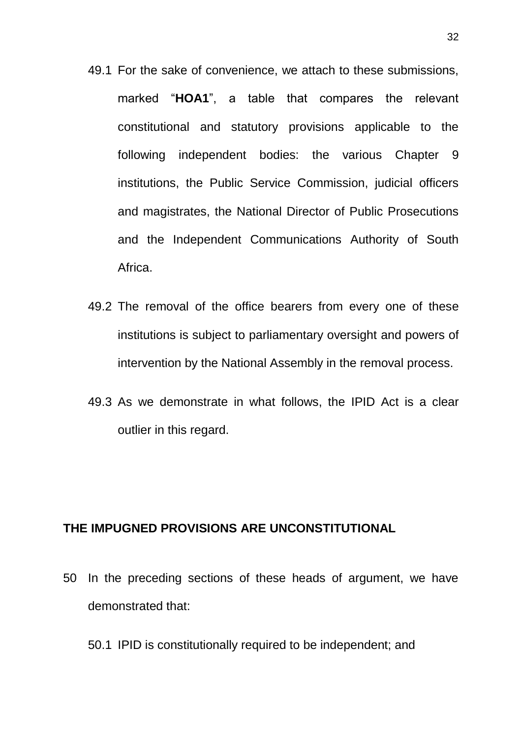- 49.1 For the sake of convenience, we attach to these submissions, marked "**HOA1**", a table that compares the relevant constitutional and statutory provisions applicable to the following independent bodies: the various Chapter 9 institutions, the Public Service Commission, judicial officers and magistrates, the National Director of Public Prosecutions and the Independent Communications Authority of South Africa.
- 49.2 The removal of the office bearers from every one of these institutions is subject to parliamentary oversight and powers of intervention by the National Assembly in the removal process.
- 49.3 As we demonstrate in what follows, the IPID Act is a clear outlier in this regard.

#### **THE IMPUGNED PROVISIONS ARE UNCONSTITUTIONAL**

- 50 In the preceding sections of these heads of argument, we have demonstrated that:
	- 50.1 IPID is constitutionally required to be independent; and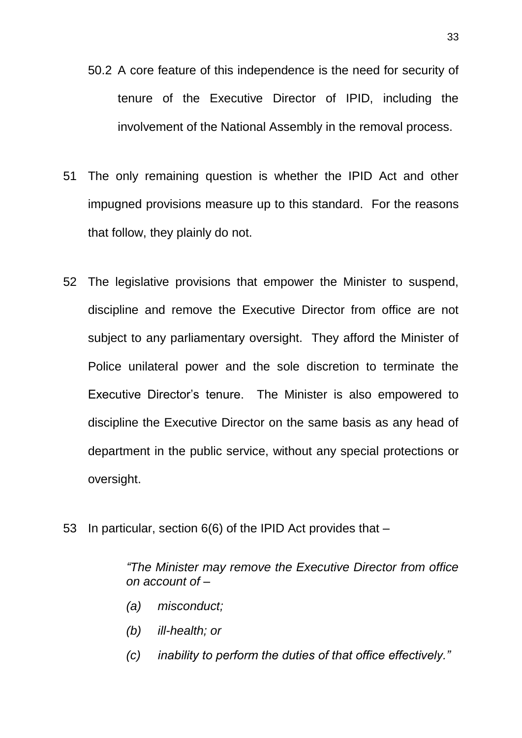- 50.2 A core feature of this independence is the need for security of tenure of the Executive Director of IPID, including the involvement of the National Assembly in the removal process.
- 51 The only remaining question is whether the IPID Act and other impugned provisions measure up to this standard. For the reasons that follow, they plainly do not.
- 52 The legislative provisions that empower the Minister to suspend, discipline and remove the Executive Director from office are not subject to any parliamentary oversight. They afford the Minister of Police unilateral power and the sole discretion to terminate the Executive Director's tenure. The Minister is also empowered to discipline the Executive Director on the same basis as any head of department in the public service, without any special protections or oversight.
- 53 In particular, section 6(6) of the IPID Act provides that –

*"The Minister may remove the Executive Director from office on account of –*

- *(a) misconduct;*
- *(b) ill-health; or*
- *(c) inability to perform the duties of that office effectively."*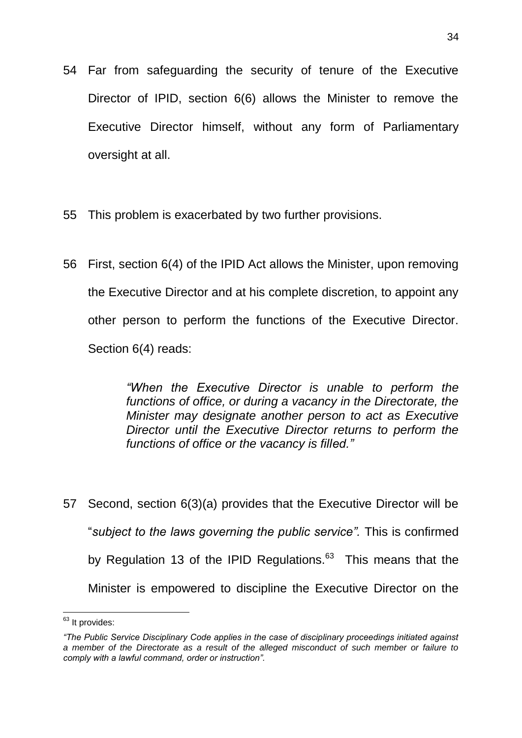- 54 Far from safeguarding the security of tenure of the Executive Director of IPID, section 6(6) allows the Minister to remove the Executive Director himself, without any form of Parliamentary oversight at all.
- 55 This problem is exacerbated by two further provisions.
- 56 First, section 6(4) of the IPID Act allows the Minister, upon removing the Executive Director and at his complete discretion, to appoint any other person to perform the functions of the Executive Director. Section 6(4) reads:

*"When the Executive Director is unable to perform the functions of office, or during a vacancy in the Directorate, the Minister may designate another person to act as Executive Director until the Executive Director returns to perform the functions of office or the vacancy is filled."*

57 Second, section 6(3)(a) provides that the Executive Director will be "*subject to the laws governing the public service".* This is confirmed by Regulation 13 of the IPID Regulations.<sup>63</sup> This means that the Minister is empowered to discipline the Executive Director on the

<sup>1</sup> <sup>63</sup> It provides:

*<sup>&</sup>quot;The Public Service Disciplinary Code applies in the case of disciplinary proceedings initiated against a member of the Directorate as a result of the alleged misconduct of such member or failure to comply with a lawful command, order or instruction".*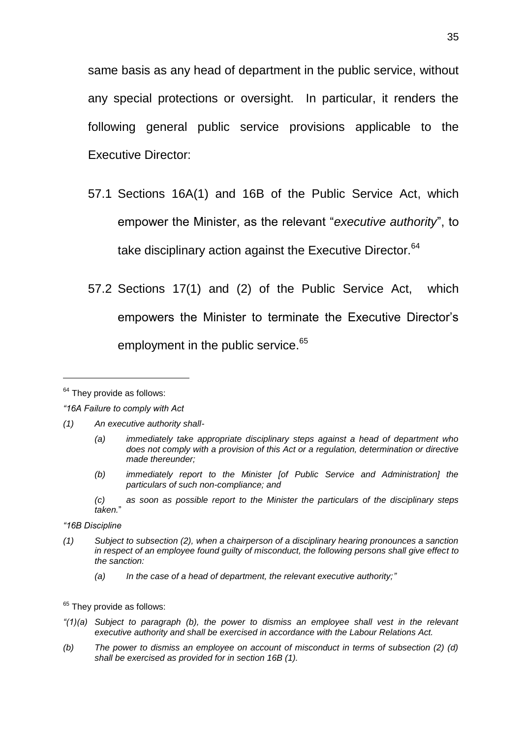same basis as any head of department in the public service, without any special protections or oversight. In particular, it renders the following general public service provisions applicable to the Executive Director:

- 57.1 Sections 16A(1) and 16B of the Public Service Act, which empower the Minister, as the relevant "*executive authority*", to take disciplinary action against the Executive Director.<sup>64</sup>
- 57.2 Sections 17(1) and (2) of the Public Service Act, which empowers the Minister to terminate the Executive Director's employment in the public service.<sup>65</sup>

- *(1) An executive authority shall-*
	- *(a) immediately take appropriate disciplinary steps against a head of department who does not comply with a provision of this Act or a regulation, determination or directive made thereunder;*
	- *(b) immediately report to the Minister [of Public Service and Administration] the particulars of such non-compliance; and*
	- *(c) as soon as possible report to the Minister the particulars of the disciplinary steps taken.*"
- *"16B Discipline*
- *(1) Subject to subsection (2), when a chairperson of a disciplinary hearing pronounces a sanction in respect of an employee found guilty of misconduct, the following persons shall give effect to the sanction:*
	- *(a) In the case of a head of department, the relevant executive authority;"*
- $65$  They provide as follows:
- *"(1)(a) Subject to paragraph (b), the power to dismiss an employee shall vest in the relevant executive authority and shall be exercised in accordance with the Labour Relations Act.*
- *(b) The power to dismiss an employee on account of misconduct in terms of subsection (2) (d) shall be exercised as provided for in section 16B (1).*

 $64$  They provide as follows:

*<sup>&</sup>quot;16A Failure to comply with Act*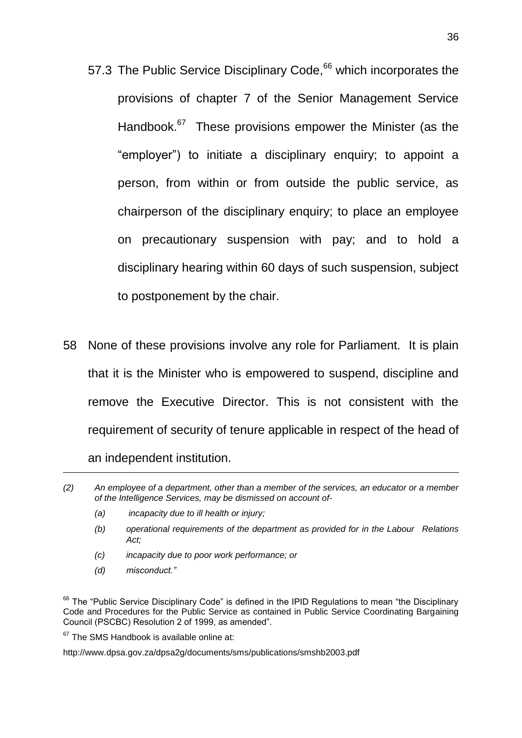- 57.3 The Public Service Disciplinary Code,<sup>66</sup> which incorporates the provisions of chapter 7 of the Senior Management Service Handbook.<sup>67</sup> These provisions empower the Minister (as the "employer") to initiate a disciplinary enquiry; to appoint a person, from within or from outside the public service, as chairperson of the disciplinary enquiry; to place an employee on precautionary suspension with pay; and to hold a disciplinary hearing within 60 days of such suspension, subject to postponement by the chair.
- 58 None of these provisions involve any role for Parliament. It is plain that it is the Minister who is empowered to suspend, discipline and remove the Executive Director. This is not consistent with the requirement of security of tenure applicable in respect of the head of an independent institution.

- *(a) incapacity due to ill health or injury;*
- *(b) operational requirements of the department as provided for in the Labour Relations Act;*
- *(c) incapacity due to poor work performance; or*
- *(d) misconduct."*

<sup>66</sup> The "Public Service Disciplinary Code" is defined in the IPID Regulations to mean "the Disciplinary Code and Procedures for the Public Service as contained in Public Service Coordinating Bargaining Council (PSCBC) Resolution 2 of 1999, as amended".

 $67$  The SMS Handbook is available online at:

http://www.dpsa.gov.za/dpsa2g/documents/sms/publications/smshb2003.pdf

*<sup>(2)</sup> An employee of a department, other than a member of the services, an educator or a member of the Intelligence Services, may be dismissed on account of-*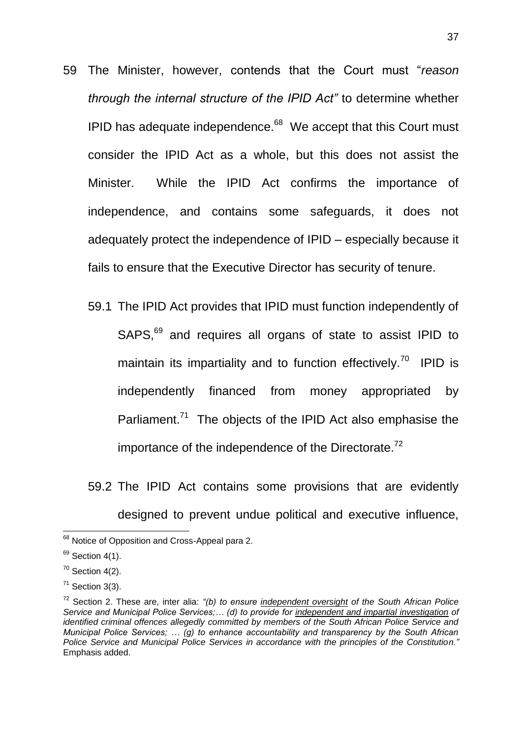- 59 The Minister, however, contends that the Court must "*reason through the internal structure of the IPID Act"* to determine whether IPID has adequate independence. $68$  We accept that this Court must consider the IPID Act as a whole, but this does not assist the Minister. While the IPID Act confirms the importance of independence, and contains some safeguards, it does not adequately protect the independence of IPID – especially because it fails to ensure that the Executive Director has security of tenure.
	- 59.1 The IPID Act provides that IPID must function independently of SAPS,<sup>69</sup> and requires all organs of state to assist IPID to maintain its impartiality and to function effectively.<sup>70</sup> IPID is independently financed from money appropriated by Parliament.<sup>71</sup> The objects of the IPID Act also emphasise the importance of the independence of the Directorate. $72$

59.2 The IPID Act contains some provisions that are evidently designed to prevent undue political and executive influence,

<sup>&</sup>lt;sup>68</sup> Notice of Opposition and Cross-Appeal para 2.

 $69$  Section 4(1).

 $70$  Section 4(2).

 $71$  Section 3(3).

<sup>72</sup> Section 2. These are, inter alia: *"(b) to ensure independent oversight of the South African Police Service and Municipal Police Services;… (d) to provide for independent and impartial investigation of identified criminal offences allegedly committed by members of the South African Police Service and Municipal Police Services; … (g) to enhance accountability and transparency by the South African Police Service and Municipal Police Services in accordance with the principles of the Constitution."*  Emphasis added.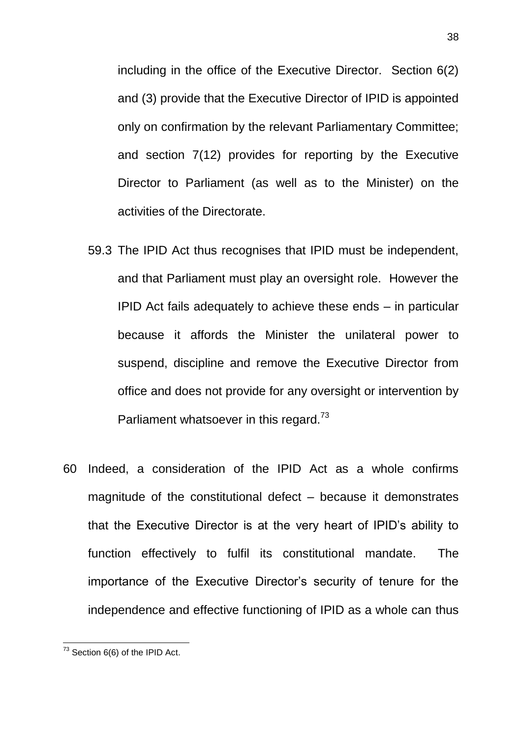including in the office of the Executive Director. Section 6(2) and (3) provide that the Executive Director of IPID is appointed only on confirmation by the relevant Parliamentary Committee; and section 7(12) provides for reporting by the Executive Director to Parliament (as well as to the Minister) on the activities of the Directorate.

- 59.3 The IPID Act thus recognises that IPID must be independent, and that Parliament must play an oversight role. However the IPID Act fails adequately to achieve these ends – in particular because it affords the Minister the unilateral power to suspend, discipline and remove the Executive Director from office and does not provide for any oversight or intervention by Parliament whatsoever in this regard. $73$
- 60 Indeed, a consideration of the IPID Act as a whole confirms magnitude of the constitutional defect – because it demonstrates that the Executive Director is at the very heart of IPID's ability to function effectively to fulfil its constitutional mandate. The importance of the Executive Director's security of tenure for the independence and effective functioning of IPID as a whole can thus

 $73$  Section 6(6) of the IPID Act.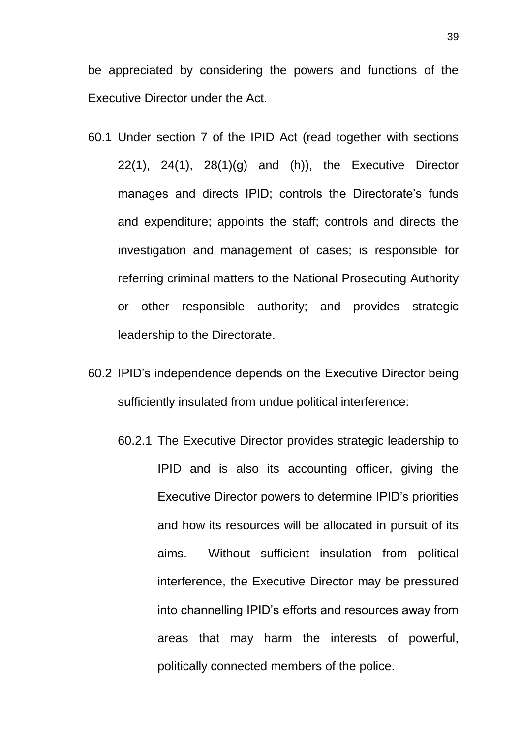be appreciated by considering the powers and functions of the Executive Director under the Act.

- 60.1 Under section 7 of the IPID Act (read together with sections  $22(1)$ ,  $24(1)$ ,  $28(1)(g)$  and  $(h)$ ), the Executive Director manages and directs IPID; controls the Directorate's funds and expenditure; appoints the staff; controls and directs the investigation and management of cases; is responsible for referring criminal matters to the National Prosecuting Authority or other responsible authority; and provides strategic leadership to the Directorate.
- 60.2 IPID's independence depends on the Executive Director being sufficiently insulated from undue political interference:
	- 60.2.1 The Executive Director provides strategic leadership to IPID and is also its accounting officer, giving the Executive Director powers to determine IPID's priorities and how its resources will be allocated in pursuit of its aims. Without sufficient insulation from political interference, the Executive Director may be pressured into channelling IPID's efforts and resources away from areas that may harm the interests of powerful, politically connected members of the police.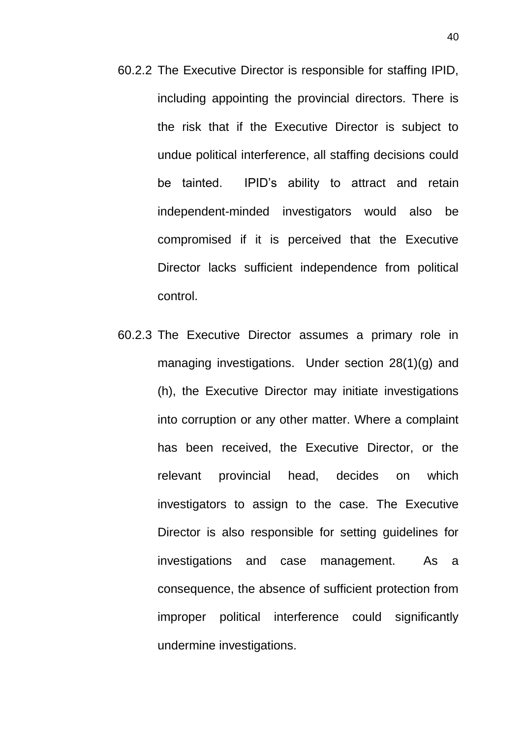- 60.2.2 The Executive Director is responsible for staffing IPID, including appointing the provincial directors. There is the risk that if the Executive Director is subject to undue political interference, all staffing decisions could be tainted. IPID's ability to attract and retain independent-minded investigators would also be compromised if it is perceived that the Executive Director lacks sufficient independence from political control.
- 60.2.3 The Executive Director assumes a primary role in managing investigations. Under section 28(1)(g) and (h), the Executive Director may initiate investigations into corruption or any other matter. Where a complaint has been received, the Executive Director, or the relevant provincial head, decides on which investigators to assign to the case. The Executive Director is also responsible for setting guidelines for investigations and case management. As a consequence, the absence of sufficient protection from improper political interference could significantly undermine investigations.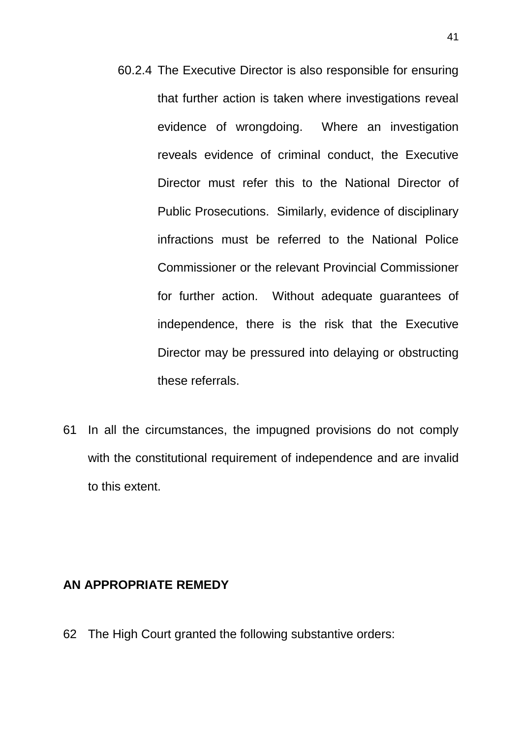- 60.2.4 The Executive Director is also responsible for ensuring that further action is taken where investigations reveal evidence of wrongdoing. Where an investigation reveals evidence of criminal conduct, the Executive Director must refer this to the National Director of Public Prosecutions. Similarly, evidence of disciplinary infractions must be referred to the National Police Commissioner or the relevant Provincial Commissioner for further action. Without adequate guarantees of independence, there is the risk that the Executive Director may be pressured into delaying or obstructing these referrals.
- 61 In all the circumstances, the impugned provisions do not comply with the constitutional requirement of independence and are invalid to this extent.

#### **AN APPROPRIATE REMEDY**

62 The High Court granted the following substantive orders: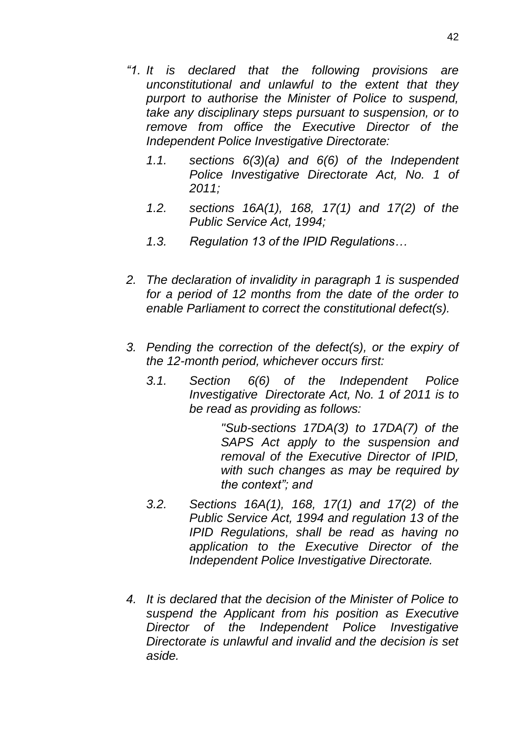- *"1. It is declared that the following provisions are unconstitutional and unlawful to the extent that they purport to authorise the Minister of Police to suspend, take any disciplinary steps pursuant to suspension, or to remove from office the Executive Director of the Independent Police Investigative Directorate:*
	- *1.1. sections 6(3)(a) and 6(6) of the Independent Police Investigative Directorate Act, No. 1 of 2011;*
	- *1.2. sections 16A(1), 168, 17(1) and 17(2) of the Public Service Act, 1994;*
	- *1.3. Regulation 13 of the IPID Regulations…*
- *2. The declaration of invalidity in paragraph 1 is suspended for a period of 12 months from the date of the order to enable Parliament to correct the constitutional defect(s).*
- *3. Pending the correction of the defect(s), or the expiry of the 12-month period, whichever occurs first:*
	- *3.1. Section 6(6) of the Independent Police Investigative Directorate Act, No. 1 of 2011 is to be read as providing as follows:*

*"Sub-sections 17DA(3) to 17DA(7) of the SAPS Act apply to the suspension and removal of the Executive Director of IPID, with such changes as may be required by the context"; and*

- *3.2. Sections 16A(1), 168, 17(1) and 17(2) of the Public Service Act, 1994 and regulation 13 of the IPID Regulations, shall be read as having no application to the Executive Director of the Independent Police Investigative Directorate.*
- *4. It is declared that the decision of the Minister of Police to suspend the Applicant from his position as Executive Director of the Independent Police Investigative Directorate is unlawful and invalid and the decision is set aside.*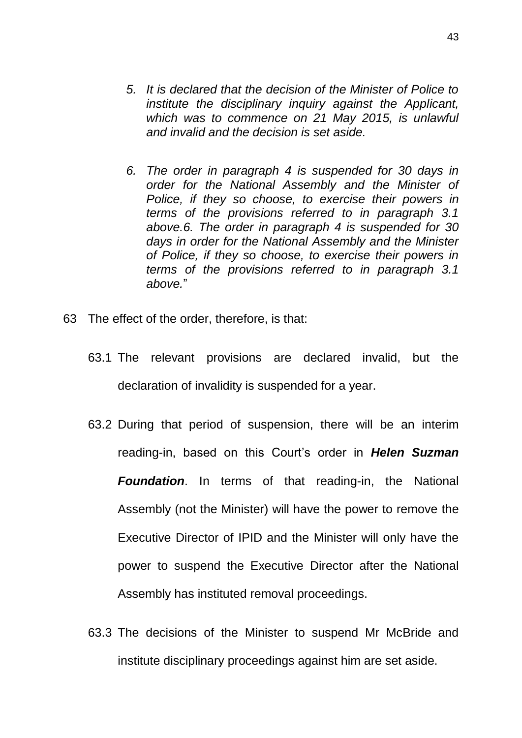- *5. It is declared that the decision of the Minister of Police to institute the disciplinary inquiry against the Applicant, which was to commence on 21 May 2015, is unlawful and invalid and the decision is set aside.*
- *6. The order in paragraph 4 is suspended for 30 days in order for the National Assembly and the Minister of Police, if they so choose, to exercise their powers in terms of the provisions referred to in paragraph 3.1 above.6. The order in paragraph 4 is suspended for 30 days in order for the National Assembly and the Minister of Police, if they so choose, to exercise their powers in terms of the provisions referred to in paragraph 3.1 above.*"
- 63 The effect of the order, therefore, is that:
	- 63.1 The relevant provisions are declared invalid, but the declaration of invalidity is suspended for a year.
	- 63.2 During that period of suspension, there will be an interim reading-in, based on this Court's order in *Helen Suzman Foundation*. In terms of that reading-in, the National Assembly (not the Minister) will have the power to remove the Executive Director of IPID and the Minister will only have the power to suspend the Executive Director after the National Assembly has instituted removal proceedings.
	- 63.3 The decisions of the Minister to suspend Mr McBride and institute disciplinary proceedings against him are set aside.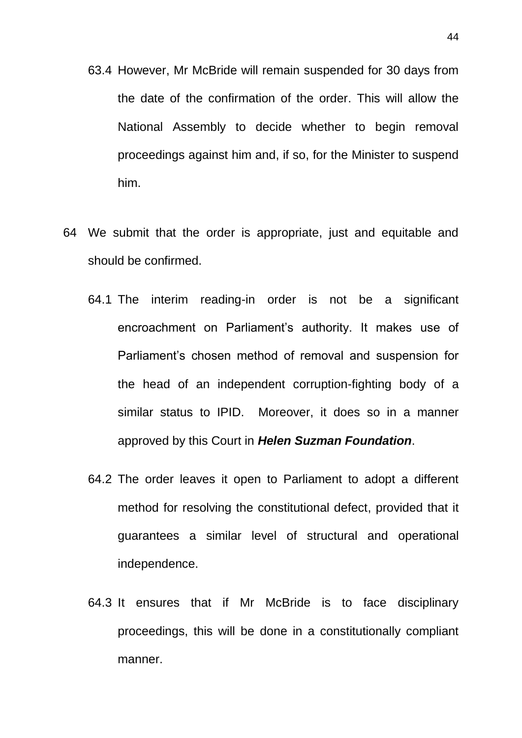- 63.4 However, Mr McBride will remain suspended for 30 days from the date of the confirmation of the order. This will allow the National Assembly to decide whether to begin removal proceedings against him and, if so, for the Minister to suspend him.
- 64 We submit that the order is appropriate, just and equitable and should be confirmed.
	- 64.1 The interim reading-in order is not be a significant encroachment on Parliament's authority. It makes use of Parliament's chosen method of removal and suspension for the head of an independent corruption-fighting body of a similar status to IPID. Moreover, it does so in a manner approved by this Court in *Helen Suzman Foundation*.
	- 64.2 The order leaves it open to Parliament to adopt a different method for resolving the constitutional defect, provided that it guarantees a similar level of structural and operational independence.
	- 64.3 It ensures that if Mr McBride is to face disciplinary proceedings, this will be done in a constitutionally compliant manner.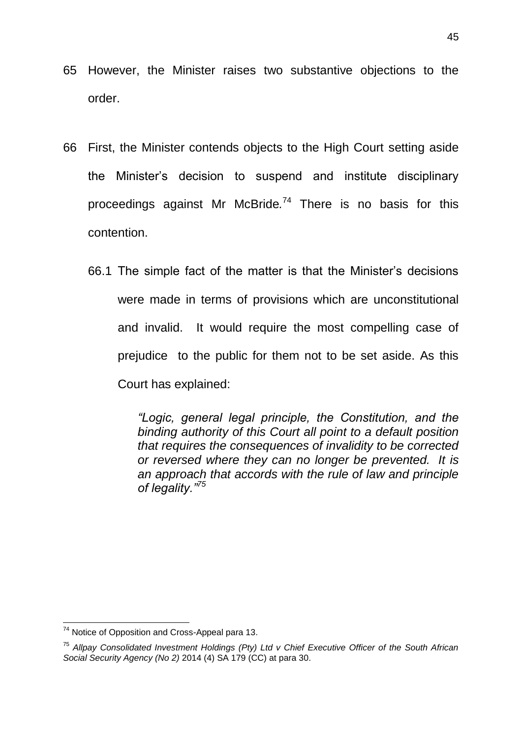- 65 However, the Minister raises two substantive objections to the order.
- 66 First, the Minister contends objects to the High Court setting aside the Minister's decision to suspend and institute disciplinary proceedings against Mr McBride*.* <sup>74</sup> There is no basis for this contention.
	- 66.1 The simple fact of the matter is that the Minister's decisions were made in terms of provisions which are unconstitutional and invalid. It would require the most compelling case of prejudice to the public for them not to be set aside. As this Court has explained:

*"Logic, general legal principle, the Constitution, and the binding authority of this Court all point to a default position that requires the consequences of invalidity to be corrected or reversed where they can no longer be prevented. It is an approach that accords with the rule of law and principle of legality."<sup>75</sup>*

 $74$  Notice of Opposition and Cross-Appeal para 13.

<sup>75</sup> *Allpay Consolidated Investment Holdings (Pty) Ltd v Chief Executive Officer of the South African Social Security Agency (No 2)* 2014 (4) SA 179 (CC) at para 30.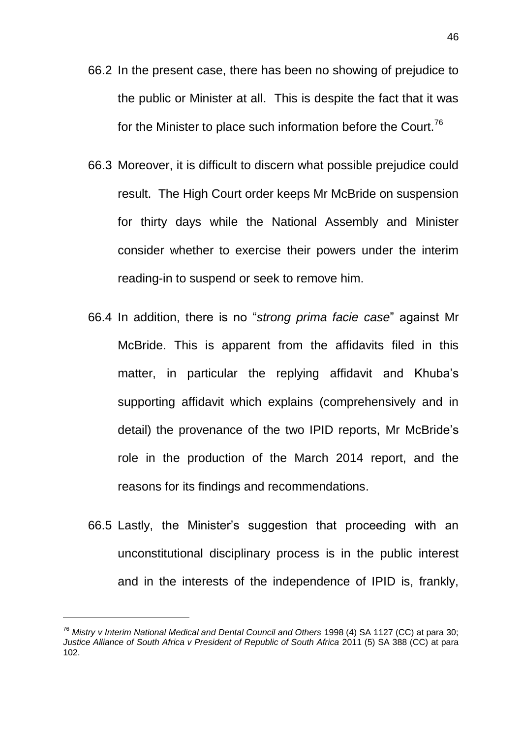- 66.2 In the present case, there has been no showing of prejudice to the public or Minister at all. This is despite the fact that it was for the Minister to place such information before the Court.<sup>76</sup>
- 66.3 Moreover, it is difficult to discern what possible prejudice could result. The High Court order keeps Mr McBride on suspension for thirty days while the National Assembly and Minister consider whether to exercise their powers under the interim reading-in to suspend or seek to remove him.
- 66.4 In addition, there is no "*strong prima facie case*" against Mr McBride. This is apparent from the affidavits filed in this matter, in particular the replying affidavit and Khuba's supporting affidavit which explains (comprehensively and in detail) the provenance of the two IPID reports, Mr McBride's role in the production of the March 2014 report, and the reasons for its findings and recommendations.
- 66.5 Lastly, the Minister's suggestion that proceeding with an unconstitutional disciplinary process is in the public interest and in the interests of the independence of IPID is, frankly,

<sup>76</sup> *Mistry v Interim National Medical and Dental Council and Others* 1998 (4) SA 1127 (CC) at para 30; *Justice Alliance of South Africa v President of Republic of South Africa 2011 (5) SA 388 (CC) at para* 102.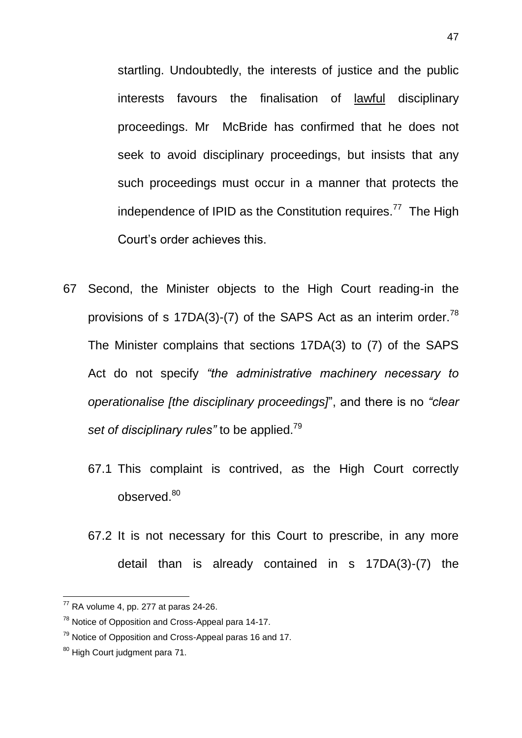startling. Undoubtedly, the interests of justice and the public interests favours the finalisation of lawful disciplinary proceedings. Mr McBride has confirmed that he does not seek to avoid disciplinary proceedings, but insists that any such proceedings must occur in a manner that protects the independence of IPID as the Constitution requires.<sup>77</sup> The High Court's order achieves this.

- 67 Second, the Minister objects to the High Court reading-in the provisions of s 17DA(3)-(7) of the SAPS Act as an interim order.<sup>78</sup> The Minister complains that sections 17DA(3) to (7) of the SAPS Act do not specify *"the administrative machinery necessary to operationalise [the disciplinary proceedings]*", and there is no *"clear set of disciplinary rules"* to be applied.<sup>79</sup>
	- 67.1 This complaint is contrived, as the High Court correctly observed.<sup>80</sup>
	- 67.2 It is not necessary for this Court to prescribe, in any more detail than is already contained in s 17DA(3)-(7) the

 $77$  RA volume 4, pp. 277 at paras 24-26.

<sup>78</sup> Notice of Opposition and Cross-Appeal para 14-17.

 $79$  Notice of Opposition and Cross-Appeal paras 16 and 17.

<sup>80</sup> High Court judgment para 71.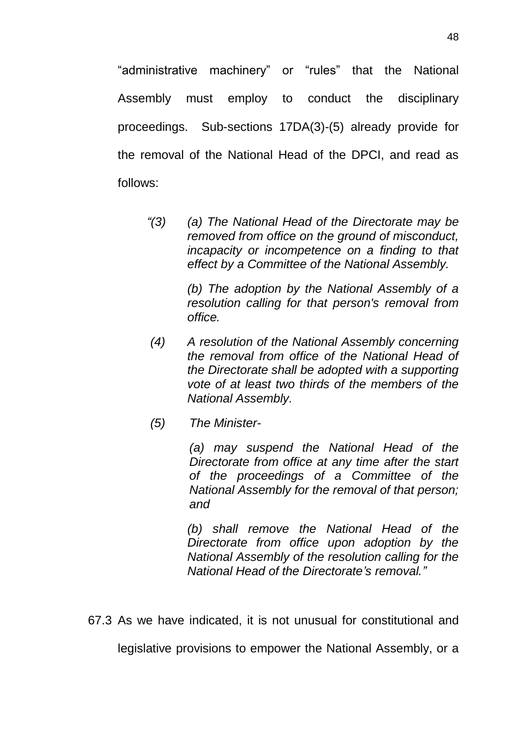"administrative machinery" or "rules" that the National Assembly must employ to conduct the disciplinary proceedings. Sub-sections 17DA(3)-(5) already provide for the removal of the National Head of the DPCI, and read as follows:

 *"(3) (a) The National Head of the Directorate may be removed from office on the ground of misconduct, incapacity or incompetence on a finding to that effect by a Committee of the National Assembly.*

> *(b) The adoption by the National Assembly of a resolution calling for that person's removal from office.*

- *(4) A resolution of the National Assembly concerning the removal from office of the National Head of the Directorate shall be adopted with a supporting vote of at least two thirds of the members of the National Assembly.*
- *(5) The Minister-*

 *(a) may suspend the National Head of the Directorate from office at any time after the start of the proceedings of a Committee of the National Assembly for the removal of that person; and* 

 *(b) shall remove the National Head of the Directorate from office upon adoption by the National Assembly of the resolution calling for the National Head of the Directorate's removal."*

67.3 As we have indicated, it is not unusual for constitutional and

legislative provisions to empower the National Assembly, or a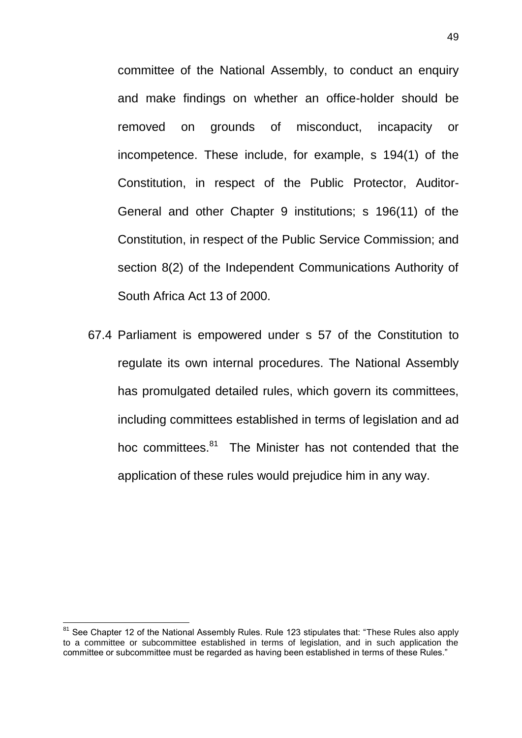committee of the National Assembly, to conduct an enquiry and make findings on whether an office-holder should be removed on grounds of misconduct, incapacity or incompetence. These include, for example, s 194(1) of the Constitution, in respect of the Public Protector, Auditor-General and other Chapter 9 institutions; s 196(11) of the Constitution, in respect of the Public Service Commission; and section 8(2) of the Independent Communications Authority of South Africa Act 13 of 2000.

67.4 Parliament is empowered under s 57 of the Constitution to regulate its own internal procedures. The National Assembly has promulgated detailed rules, which govern its committees, including committees established in terms of legislation and ad hoc committees.<sup>81</sup> The Minister has not contended that the application of these rules would prejudice him in any way.

<sup>&</sup>lt;sup>81</sup> See Chapter 12 of the National Assembly Rules. Rule 123 stipulates that: "These Rules also apply to a committee or subcommittee established in terms of legislation, and in such application the committee or subcommittee must be regarded as having been established in terms of these Rules."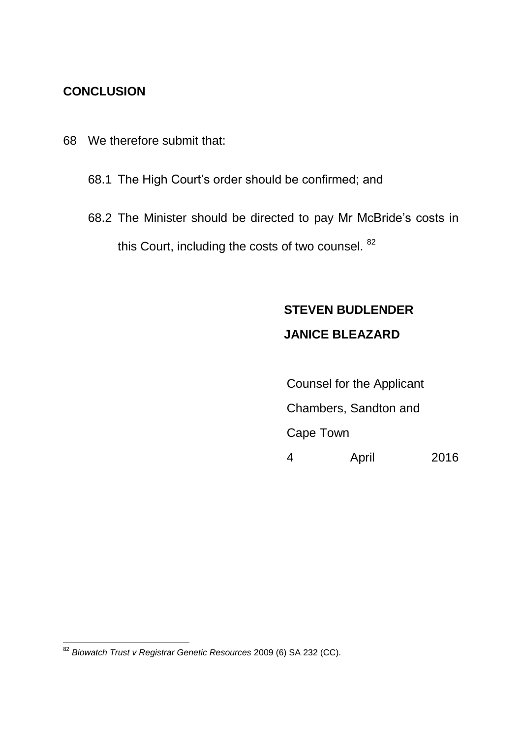### **CONCLUSION**

- 68 We therefore submit that:
	- 68.1 The High Court's order should be confirmed; and
	- 68.2 The Minister should be directed to pay Mr McBride's costs in this Court, including the costs of two counsel. <sup>82</sup>

## **STEVEN BUDLENDER**

## **JANICE BLEAZARD**

Counsel for the Applicant Chambers, Sandton and Cape Town 4 April 2016

<sup>82</sup> *Biowatch Trust v Registrar Genetic Resources* 2009 (6) SA 232 (CC).